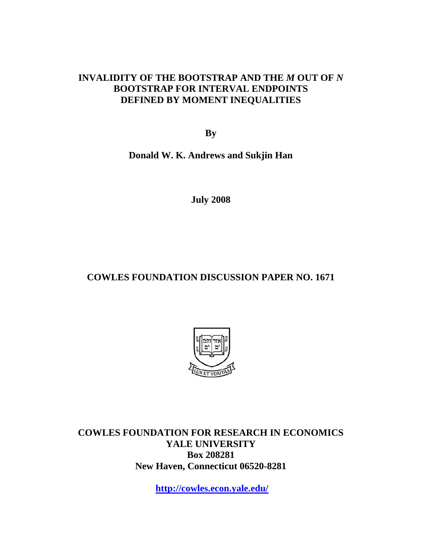## **INVALIDITY OF THE BOOTSTRAP AND THE** *M* **OUT OF** *N*  **BOOTSTRAP FOR INTERVAL ENDPOINTS DEFINED BY MOMENT INEQUALITIES**

**By** 

**Donald W. K. Andrews and Sukjin Han** 

**July 2008** 

# **COWLES FOUNDATION DISCUSSION PAPER NO. 1671**



**COWLES FOUNDATION FOR RESEARCH IN ECONOMICS YALE UNIVERSITY Box 208281 New Haven, Connecticut 06520-8281** 

**http://cowles.econ.yale.edu/**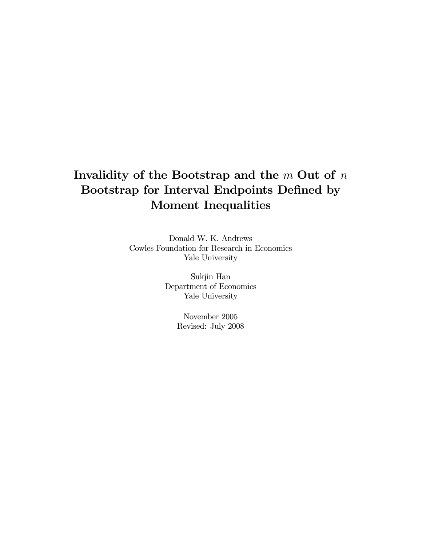# Invalidity of the Bootstrap and the  $m$  Out of  $n$ Bootstrap for Interval Endpoints Defined by Moment Inequalities

Donald W. K. Andrews Cowles Foundation for Research in Economics Yale University

> Sukjin Han Department of Economics Yale University

> > November 2005 Revised: July 2008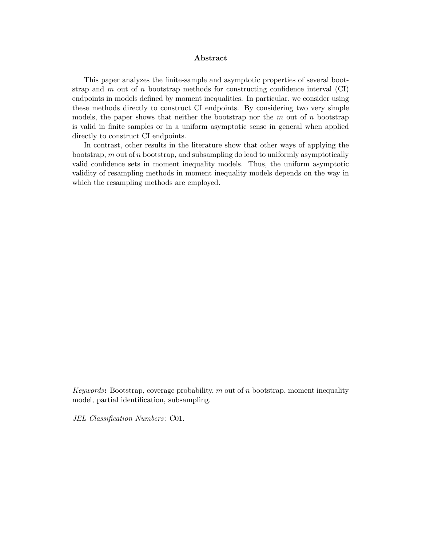#### Abstract

This paper analyzes the finite-sample and asymptotic properties of several bootstrap and m out of n bootstrap methods for constructing confidence interval  $\left( \text{CI}\right)$ endpoints in models defined by moment inequalities. In particular, we consider using these methods directly to construct CI endpoints. By considering two very simple models, the paper shows that neither the bootstrap nor the  $m$  out of  $n$  bootstrap is valid in finite samples or in a uniform asymptotic sense in general when applied directly to construct CI endpoints.

In contrast, other results in the literature show that other ways of applying the bootstrap,  $m$  out of  $n$  bootstrap, and subsampling do lead to uniformly asymptotically valid confidence sets in moment inequality models. Thus, the uniform asymptotic validity of resampling methods in moment inequality models depends on the way in which the resampling methods are employed.

Keywords: Bootstrap, coverage probability, m out of n bootstrap, moment inequality model, partial identification, subsampling.

JEL Classification Numbers: C01.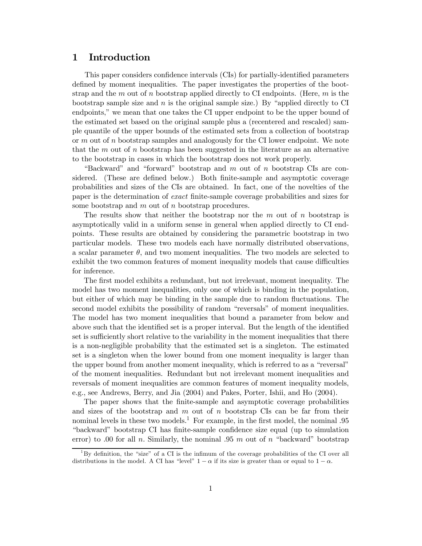### 1 Introduction

This paper considers confidence intervals (CIs) for partially-identified parameters defined by moment inequalities. The paper investigates the properties of the bootstrap and the m out of n bootstrap applied directly to CI endpoints. (Here,  $m$  is the bootstrap sample size and n is the original sample size.) By "applied directly to  $CI$ endpoints," we mean that one takes the CI upper endpoint to be the upper bound of the estimated set based on the original sample plus a (recentered and rescaled) sample quantile of the upper bounds of the estimated sets from a collection of bootstrap or m out of n bootstrap samples and analogously for the CI lower endpoint. We note that the  $m$  out of  $n$  bootstrap has been suggested in the literature as an alternative to the bootstrap in cases in which the bootstrap does not work properly.

"Backward" and "forward" bootstrap and  $m$  out of  $n$  bootstrap CIs are considered. (These are defined below.) Both finite-sample and asymptotic coverage probabilities and sizes of the CIs are obtained. In fact, one of the novelties of the paper is the determination of exact finite-sample coverage probabilities and sizes for some bootstrap and  $m$  out of  $n$  bootstrap procedures.

The results show that neither the bootstrap nor the  $m$  out of  $n$  bootstrap is asymptotically valid in a uniform sense in general when applied directly to CI endpoints. These results are obtained by considering the parametric bootstrap in two particular models. These two models each have normally distributed observations, a scalar parameter  $\theta$ , and two moment inequalities. The two models are selected to exhibit the two common features of moment inequality models that cause difficulties for inference.

The first model exhibits a redundant, but not irrelevant, moment inequality. The model has two moment inequalities, only one of which is binding in the population, but either of which may be binding in the sample due to random fluctuations. The second model exhibits the possibility of random "reversals" of moment inequalities. The model has two moment inequalities that bound a parameter from below and above such that the identified set is a proper interval. But the length of the identified set is sufficiently short relative to the variability in the moment inequalities that there is a non-negligible probability that the estimated set is a singleton. The estimated set is a singleton when the lower bound from one moment inequality is larger than the upper bound from another moment inequality, which is referred to as a "reversal" of the moment inequalities. Redundant but not irrelevant moment inequalities and reversals of moment inequalities are common features of moment inequality models, e.g., see Andrews, Berry, and Jia (2004) and Pakes, Porter, Ishii, and Ho (2004).

The paper shows that the finite-sample and asymptotic coverage probabilities and sizes of the bootstrap and  $m$  out of  $n$  bootstrap CIs can be far from their nominal levels in these two models.<sup>1</sup> For example, in the first model, the nominal  $.95$ "backward" bootstrap CI has finite-sample confidence size equal (up to simulation error) to .00 for all n. Similarly, the nominal .95 m out of n "backward" bootstrap

 $1_{\rm B}$  definition, the "size" of a CI is the infimum of the coverage probabilities of the CI over all distributions in the model. A CI has "level"  $1 - \alpha$  if its size is greater than or equal to  $1 - \alpha$ .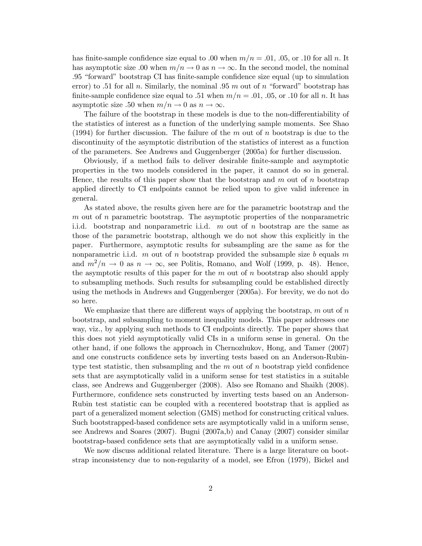has finite-sample confidence size equal to .00 when  $m/n = .01, .05,$  or .10 for all n. It has asymptotic size .00 when  $m/n \to 0$  as  $n \to \infty$ . In the second model, the nominal .95 "forward" bootstrap CI has finite-sample confidence size equal (up to simulation error) to .51 for all n. Similarly, the nominal .95 m out of n "forward" bootstrap has finite-sample confidence size equal to .51 when  $m/n = .01, .05,$  or .10 for all n. It has asymptotic size .50 when  $m/n \to 0$  as  $n \to \infty$ .

The failure of the bootstrap in these models is due to the non-differentiability of the statistics of interest as a function of the underlying sample moments. See Shao (1994) for further discussion. The failure of the  $m$  out of  $n$  bootstrap is due to the discontinuity of the asymptotic distribution of the statistics of interest as a function of the parameters. See Andrews and Guggenberger (2005a) for further discussion.

Obviously, if a method fails to deliver desirable finite-sample and asymptotic properties in the two models considered in the paper, it cannot do so in general. Hence, the results of this paper show that the bootstrap and  $m$  out of  $n$  bootstrap applied directly to CI endpoints cannot be relied upon to give valid inference in general.

As stated above, the results given here are for the parametric bootstrap and the m out of n parametric bootstrap. The asymptotic properties of the nonparametric i.i.d. bootstrap and nonparametric i.i.d.  $m$  out of  $n$  bootstrap are the same as those of the parametric bootstrap, although we do not show this explicitly in the paper. Furthermore, asymptotic results for subsampling are the same as for the nonparametric i.i.d. m out of n bootstrap provided the subsample size b equals m and  $m^2/n \to 0$  as  $n \to \infty$ , see Politis, Romano, and Wolf (1999, p. 48). Hence, the asymptotic results of this paper for the  $m$  out of  $n$  bootstrap also should apply to subsampling methods. Such results for subsampling could be established directly using the methods in Andrews and Guggenberger (2005a). For brevity, we do not do so here.

We emphasize that there are different ways of applying the bootstrap,  $m$  out of  $n$ bootstrap, and subsampling to moment inequality models. This paper addresses one way, viz., by applying such methods to CI endpoints directly. The paper shows that this does not yield asymptotically valid CIs in a uniform sense in general. On the other hand, if one follows the approach in Chernozhukov, Hong, and Tamer (2007) and one constructs confidence sets by inverting tests based on an Anderson-Rubintype test statistic, then subsampling and the  $m$  out of  $n$  bootstrap yield confidence sets that are asymptotically valid in a uniform sense for test statistics in a suitable class, see Andrews and Guggenberger (2008). Also see Romano and Shaikh (2008). Furthermore, confidence sets constructed by inverting tests based on an Anderson-Rubin test statistic can be coupled with a recentered bootstrap that is applied as part of a generalized moment selection (GMS) method for constructing critical values. Such bootstrapped-based confidence sets are asymptotically valid in a uniform sense, see Andrews and Soares (2007). Bugni (2007a,b) and Canay (2007) consider similar bootstrap-based confidence sets that are asymptotically valid in a uniform sense.

We now discuss additional related literature. There is a large literature on bootstrap inconsistency due to non-regularity of a model, see Efron (1979), Bickel and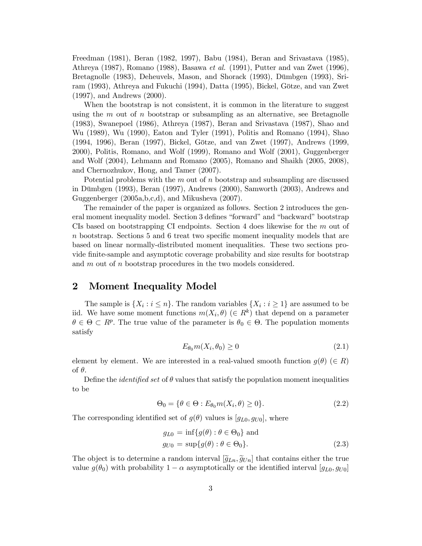Freedman (1981), Beran (1982, 1997), Babu (1984), Beran and Srivastava (1985), Athreya (1987), Romano (1988), Basawa et al. (1991), Putter and van Zwet (1996), Bretagnolle (1983), Deheuvels, Mason, and Shorack (1993), Dümbgen (1993), Sriram (1993), Athreya and Fukuchi (1994), Datta (1995), Bickel, Götze, and van Zwet (1997), and Andrews (2000).

When the bootstrap is not consistent, it is common in the literature to suggest using the  $m$  out of  $n$  bootstrap or subsampling as an alternative, see Bretagnolle (1983), Swanepoel (1986), Athreya (1987), Beran and Srivastava (1987), Shao and Wu (1989), Wu (1990), Eaton and Tyler (1991), Politis and Romano (1994), Shao (1994, 1996), Beran (1997), Bickel, Götze, and van Zwet (1997), Andrews (1999, 2000), Politis, Romano, and Wolf (1999), Romano and Wolf (2001), Guggenberger and Wolf (2004), Lehmann and Romano (2005), Romano and Shaikh (2005, 2008), and Chernozhukov, Hong, and Tamer (2007).

Potential problems with the  $m$  out of  $n$  bootstrap and subsampling are discussed in Dümbgen (1993), Beran (1997), Andrews (2000), Samworth (2003), Andrews and Guggenberger (2005a,b,c,d), and Mikusheva (2007).

The remainder of the paper is organized as follows. Section 2 introduces the general moment inequality model. Section 3 defines "forward" and "backward" bootstrap CIs based on bootstrapping CI endpoints. Section 4 does likewise for the  $m$  out of n bootstrap. Sections 5 and 6 treat two specific moment inequality models that are based on linear normally-distributed moment inequalities. These two sections provide finite-sample and asymptotic coverage probability and size results for bootstrap and m out of n bootstrap procedures in the two models considered.

### 2 Moment Inequality Model

The sample is  $\{X_i : i \leq n\}$ . The random variables  $\{X_i : i \geq 1\}$  are assumed to be iid. We have some moment functions  $m(X_i, \theta)$  ( $\in R^k$ ) that depend on a parameter  $\theta \in \Theta \subset R^p$ . The true value of the parameter is  $\theta_0 \in \Theta$ . The population moments satisfy

$$
E_{\theta_0} m(X_i, \theta_0) \ge 0 \tag{2.1}
$$

element by element. We are interested in a real-valued smooth function  $g(\theta)$  ( $\in R$ ) of θ.

Define the *identified set* of  $\theta$  values that satisfy the population moment inequalities to be

$$
\Theta_0 = \{ \theta \in \Theta : E_{\theta_0} m(X_i, \theta) \ge 0 \}. \tag{2.2}
$$

The corresponding identified set of  $g(\theta)$  values is  $[g_{L0}, g_{U0}]$ , where

$$
g_{L0} = \inf\{g(\theta) : \theta \in \Theta_0\} \text{ and}
$$
  

$$
g_{U0} = \sup\{g(\theta) : \theta \in \Theta_0\}.
$$
 (2.3)

The object is to determine a random interval  $[\tilde{g}_{Ln}, \tilde{g}_{Un}]$  that contains either the true value  $g(\theta_0)$  with probability  $1 - \alpha$  asymptotically or the identified interval [ $g_{L0}, g_{U0}$ ]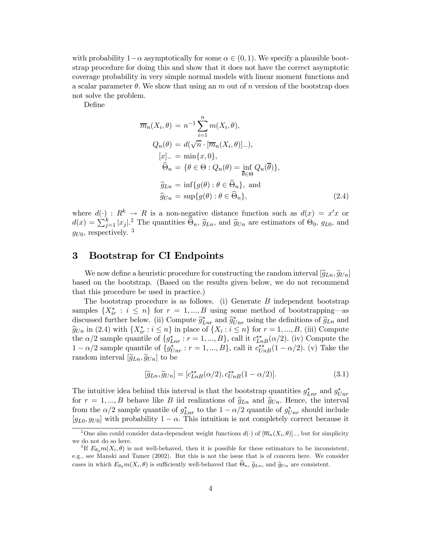with probability  $1-\alpha$  asymptotically for some  $\alpha \in (0,1)$ . We specify a plausible bootstrap procedure for doing this and show that it does not have the correct asymptotic coverage probability in very simple normal models with linear moment functions and a scalar parameter  $\theta$ . We show that using an m out of n version of the bootstrap does not solve the problem.

Define

$$
\overline{m}_n(X_i, \theta) = n^{-1} \sum_{i=1}^n m(X_i, \theta),
$$
  
\n
$$
Q_n(\theta) = d(\sqrt{n} \cdot [\overline{m}_n(X_i, \theta)]-),
$$
  
\n
$$
[x]_- = \min\{x, 0\},
$$
  
\n
$$
\widehat{\Theta}_n = \{\theta \in \Theta : Q_n(\theta) = \inf_{\overline{\theta} \in \Theta} Q_n(\overline{\theta})\},
$$
  
\n
$$
\widehat{g}_{Ln} = \inf\{g(\theta) : \theta \in \widehat{\Theta}_n\}, \text{ and}
$$
  
\n
$$
\widehat{g}_{Un} = \sup\{g(\theta) : \theta \in \widehat{\Theta}_n\}, \tag{2.4}
$$

where  $d(\cdot): R^k \to R$  is a non-negative distance function such as  $d(x) = x^k$  or  $d(x) = \sum_{j=1}^{k} |x_j|^2$  The quantities  $\widehat{\Theta}_n$ ,  $\widehat{g}_{Ln}$ , and  $\widehat{g}_{Un}$  are estimators of  $\Theta_0$ ,  $g_{L0}$ , and  $g_{U0}$ , respectively. <sup>3</sup>

### 3 Bootstrap for CI Endpoints

We now define a heuristic procedure for constructing the random interval  $[\tilde{g}_{Ln}, \tilde{g}_{Un}]$ based on the bootstrap. (Based on the results given below, we do not recommend that this procedure be used in practice.)

The bootstrap procedure is as follows. (i) Generate  $B$  independent bootstrap samples  $\{X_{ir}^*: i \leq n\}$  for  $r = 1, ..., B$  using some method of bootstrapping—as discussed further below. (ii) Compute  $\hat{g}^*_{Lnr}$  and  $\hat{g}^*_{Unr}$  using the definitions of  $\hat{g}_{Ln}$  and  $\widehat{g}_{Un}$  in (2.4) with  $\{X_{ir}^*: i \leq n\}$  in place of  $\{X_i : i \leq n\}$  for  $r = 1, ..., B$ . (iii) Compute the  $\alpha/2$  sample quantile of  $\{g_{Lnr}^*: r = 1, ..., B\}$ , call it  $c_{LnB}^{**}(\alpha/2)$ . (iv) Compute the  $1 - \alpha/2$  sample quantile of  $\{g^*_{Unr} : r = 1, ..., B\}$ , call it  $c^{**}_{UnB}(1 - \alpha/2)$ . (v) Take the random interval  $[\widetilde{g}_{Ln}, \widetilde{g}_{Un}]$  to be

$$
[\widetilde{g}_{Ln}, \widetilde{g}_{Un}] = [c_{LnB}^{**}(\alpha/2), c_{UnB}^{**}(1-\alpha/2)]. \tag{3.1}
$$

The intuitive idea behind this interval is that the bootstrap quantities  $g^*_{Lnr}$  and  $g^*_{Unr}$ for  $r = 1, ..., B$  behave like B iid realizations of  $\hat{g}_{Ln}$  and  $\hat{g}_{Un}$ . Hence, the interval from the  $\alpha/2$  sample quantile of  $g^*_{Lnr}$  to the  $1 - \alpha/2$  quantile of  $g^*_{Unr}$  should include  $[g_{L0}, g_{U0}]$  with probability  $1 - \alpha$ . This intuition is not completely correct because it

<sup>&</sup>lt;sup>2</sup>One also could consider data-dependent weight functions  $d(\cdot)$  of  $[\overline{m}_n(X_i, \theta)]_-,$  but for simplicity we do not do so here.

<sup>&</sup>lt;sup>3</sup>If  $E_{\theta_0}m(X_i,\theta)$  is not well-behaved, then it is possible for these estimators to be inconsistent, e.g., see Manski and Tamer (2002). But this is not the issue that is of concern here. We consider cases in which  $E_{\theta_0}m(X_i, \theta)$  is sufficiently well-behaved that  $\hat{\Theta}_n$ ,  $\hat{g}_{Ln}$ , and  $\hat{g}_{Un}$  are consistent.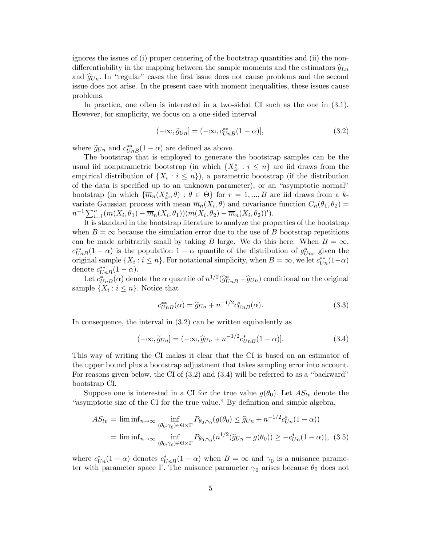ignores the issues of (i) proper centering of the bootstrap quantities and (ii) the nondifferentiability in the mapping between the sample moments and the estimators  $\hat{g}_{Ln}$ and  $\hat{q}_{Un}$ . In "regular" cases the first issue does not cause problems and the second issue does not arise. In the present case with moment inequalities, these issues cause problems.

In practice, one often is interested in a two-sided CI such as the one in (3.1). However, for simplicity, we focus on a one-sided interval

$$
(-\infty, \widetilde{g}_{Un}] = (-\infty, c_{UnB}^{**}(1-\alpha)], \qquad (3.2)
$$

where  $\widetilde{g}_{Un}$  and  $c_{UnB}^{**}(1 - \alpha)$  are defined as above.

The bootstrap that is employed to generate the bootstrap samples can be the usual iid nonparametric bootstrap (in which  $\{X_{ir}^* : i \leq n\}$  are iid draws from the empirical distribution of  $\{X_i : i \leq n\}$ , a parametric bootstrap (if the distribution of the data is specified up to an unknown parameter), or an "asymptotic normal" bootstrap (in which  $\{\overline{m}_n(X_{ir}^*, \theta) : \theta \in \Theta\}$  for  $r = 1, ..., B$  are iid draws from a kvariate Gaussian process with mean  $\overline{m}_n(X_i, \theta)$  and covariance function  $C_n(\theta_1, \theta_2)$  =  $n^{-1} \sum_{i=1}^{n} (m(X_i, \theta_1) - \overline{m}_n(X_i, \theta_1))(m(X_i, \theta_2) - \overline{m}_n(X_i, \theta_2))')$ .

It is standard in the bootstrap literature to analyze the properties of the bootstrap when  $B = \infty$  because the simulation error due to the use of B bootstrap repetitions can be made arbitrarily small by taking B large. We do this here. When  $B = \infty$ ,  $c_{UnB}^{**}(1-\alpha)$  is the population  $1-\alpha$  quantile of the distribution of  $g_{Unr}^{*}$  given the original sample  $\{X_i : i \leq n\}$ . For notational simplicity, when  $B = \infty$ , we let  $c_{Un}^{**}(1-\alpha)$ denote  $c_{UnB}^{**}(1-\alpha)$ .

Let  $c_{UBB}^*(\alpha)$  denote the  $\alpha$  quantile of  $n^{1/2}(\hat{g}_{UB}^* - \hat{g}_{Un})$  conditional on the original sample  $\{X_i : i \leq n\}$ . Notice that

$$
c_{UnB}^{**}(\alpha) = \hat{g}_{Un} + n^{-1/2} c_{UnB}^{*}(\alpha). \tag{3.3}
$$

In consequence, the interval in  $(3.2)$  can be written equivalently as

$$
(-\infty, \widetilde{g}_{Un}] = (-\infty, \widehat{g}_{Un} + n^{-1/2} c_{UnB}^*(1 - \alpha)). \tag{3.4}
$$

This way of writing the CI makes it clear that the CI is based on an estimator of the upper bound plus a bootstrap adjustment that takes sampling error into account. For reasons given below, the CI of (3.2) and (3.4) will be referred to as a "backward" bootstrap CI.

Suppose one is interested in a CI for the true value  $g(\theta_0)$ . Let  $AS_{tv}$  denote the "asymptotic size of the CI for the true value." By definition and simple algebra,

$$
AS_{tv} = \liminf_{n \to \infty} \inf_{(\theta_0, \gamma_0) \in \Theta \times \Gamma} P_{\theta_0, \gamma_0}(g(\theta_0) \le \hat{g}_{Un} + n^{-1/2} c_{Un}^*(1 - \alpha))
$$
  
= 
$$
\liminf_{n \to \infty} \inf_{(\theta_0, \gamma_0) \in \Theta \times \Gamma} P_{\theta_0, \gamma_0}(n^{1/2}(\hat{g}_{Un} - g(\theta_0)) \ge -c_{Un}^*(1 - \alpha)),
$$
 (3.5)

where  $c_{Un}^*(1-\alpha)$  denotes  $c_{UnB}^*(1-\alpha)$  when  $B=\infty$  and  $\gamma_0$  is a nuisance parameter with parameter space Γ. The nuisance parameter  $\gamma_0$  arises because  $\theta_0$  does not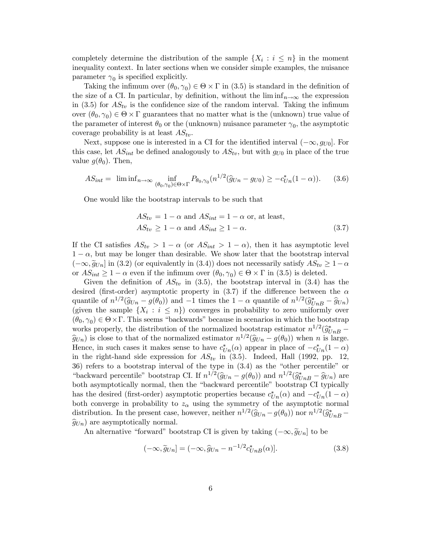completely determine the distribution of the sample  $\{X_i : i \leq n\}$  in the moment inequality context. In later sections when we consider simple examples, the nuisance parameter  $\gamma_0$  is specified explicitly.

Taking the infimum over  $(\theta_0, \gamma_0) \in \Theta \times \Gamma$  in (3.5) is standard in the definition of the size of a CI. In particular, by definition, without the  $\liminf_{n\to\infty}$  the expression in (3.5) for  $AS_{tv}$  is the confidence size of the random interval. Taking the infimum over  $(\theta_0, \gamma_0) \in \Theta \times \Gamma$  guarantees that no matter what is the (unknown) true value of the parameter of interest  $\theta_0$  or the (unknown) nuisance parameter  $\gamma_0$ , the asymptotic coverage probability is at least  $AS_{tv}$ .

Next, suppose one is interested in a CI for the identified interval  $(-\infty, g_{U0}]$ . For this case, let  $AS_{int}$  be defined analogously to  $AS_{tv}$ , but with  $g_{U0}$  in place of the true value  $g(\theta_0)$ . Then,

$$
AS_{int} = \liminf_{n \to \infty} \inf_{(\theta_0, \gamma_0) \in \Theta \times \Gamma} P_{\theta_0, \gamma_0}(n^{1/2}(\hat{g}_{Un} - g_{U0}) \ge -c_{Un}^*(1 - \alpha)). \tag{3.6}
$$

One would like the bootstrap intervals to be such that

$$
AS_{tv} = 1 - \alpha \text{ and } AS_{int} = 1 - \alpha \text{ or, at least,}
$$
  

$$
AS_{tv} \ge 1 - \alpha \text{ and } AS_{int} \ge 1 - \alpha.
$$
 (3.7)

If the CI satisfies  $AS_{tv} > 1 - \alpha$  (or  $AS_{int} > 1 - \alpha$ ), then it has asymptotic level  $1 - \alpha$ , but may be longer than desirable. We show later that the bootstrap interval  $(-\infty, \tilde{g}_{Un}]$  in (3.2) (or equivalently in (3.4)) does not necessarily satisfy  $AS_{tv} \geq 1-\alpha$ or  $AS_{int} \ge 1 - \alpha$  even if the infimum over  $(\theta_0, \gamma_0) \in \Theta \times \Gamma$  in (3.5) is deleted.

Given the definition of  $AS_{tv}$  in (3.5), the bootstrap interval in (3.4) has the desired (first-order) asymptotic property in (3.7) if the difference between the  $\alpha$ quantile of  $n^{1/2}(\hat{g}_{Un} - g(\theta_0))$  and  $-1$  times the  $1 - \alpha$  quantile of  $n^{1/2}(\hat{g}_{Un}^* - \hat{g}_{Un})$ (given the sample  $\{X_i : i \leq n\}$ ) converges in probability to zero uniformly over  $(\theta_0, \gamma_0) \in \Theta \times \Gamma$ . This seems "backwards" because in scenarios in which the bootstrap works properly, the distribution of the normalized bootstrap estimator  $n^{1/2}(\hat{g}_{UnB}^* - \hat{g}_{UnB}^*)$  $\widehat{g}_{Un}$ ) is close to that of the normalized estimator  $n^{1/2}(\widehat{g}_{Un} - g(\theta_0))$  when n is large. Hence, in such cases it makes sense to have  $c_{Un}^*(\alpha)$  appear in place of  $-c_{Un}^*(1-\alpha)$ in the right-hand side expression for  $AS_{tv}$  in (3.5). Indeed, Hall (1992, pp. 12, 36) refers to a bootstrap interval of the type in (3.4) as the "other percentile" or "backward percentile" bootstrap CI. If  $n^{1/2}(\hat{g}_{Un} - g(\theta_0))$  and  $n^{1/2}(\hat{g}_{Un}^* - \hat{g}_{Un})$  are both asymptotically normal, then the "backward percentile" bootstrap CI typically has the desired (first-order) asymptotic properties because  $c_{Un}^*(\alpha)$  and  $-c_{Un}^*(1-\alpha)$ both converge in probability to  $z_{\alpha}$  using the symmetry of the asymptotic normal distribution. In the present case, however, neither  $n^{1/2}(\hat{g}_{Un} - g(\theta_0))$  nor  $n^{1/2}(\hat{g}_{Un}^* - g(\theta_0))$  $\widehat{g}_{Un}$  are asymptotically normal.

An alternative "forward" bootstrap CI is given by taking  $(-\infty, \tilde{g}_{Un}]$  to be

$$
(-\infty, \widetilde{g}_{Un}] = (-\infty, \widehat{g}_{Un} - n^{-1/2} c^*_{UnB}(\alpha)). \tag{3.8}
$$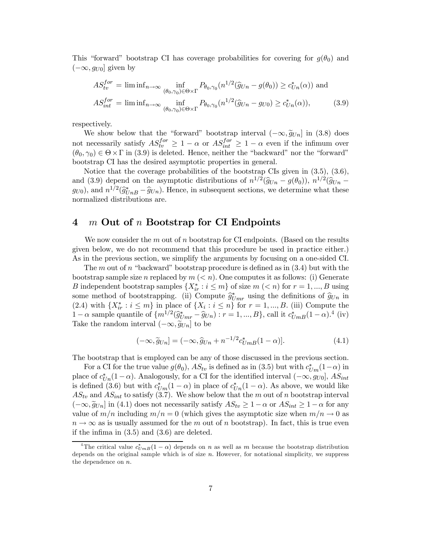This "forward" bootstrap CI has coverage probabilities for covering for  $q(\theta_0)$  and  $(-\infty, g_{U0}]$  given by

$$
AS_{tv}^{for} = \liminf_{n \to \infty} \inf_{(\theta_0, \gamma_0) \in \Theta \times \Gamma} P_{\theta_0, \gamma_0}(n^{1/2}(\hat{g}_{Un} - g(\theta_0)) \ge c_{Un}^*(\alpha)) \text{ and}
$$
  

$$
AS_{int}^{for} = \liminf_{n \to \infty} \inf_{(\theta_0, \gamma_0) \in \Theta \times \Gamma} P_{\theta_0, \gamma_0}(n^{1/2}(\hat{g}_{Un} - g_{U0}) \ge c_{Un}^*(\alpha)), \tag{3.9}
$$

respectively.

We show below that the "forward" bootstrap interval  $(-\infty, \tilde{g}_{Un}]$  in (3.8) does not necessarily satisfy  $AS_{tv}^{for} \geq 1 - \alpha$  or  $AS_{int}^{for} \geq 1 - \alpha$  even if the infimum over  $(\theta_0, \gamma_0) \in \Theta \times \Gamma$  in (3.9) is deleted. Hence, neither the "backward" nor the "forward" bootstrap CI has the desired asymptotic properties in general.

Notice that the coverage probabilities of the bootstrap CIs given in  $(3.5)$ ,  $(3.6)$ , and (3.9) depend on the asymptotic distributions of  $n^{1/2}(\hat{g}_{Un} - g(\theta_0))$ ,  $n^{1/2}(\hat{g}_{Un} - g(\theta_0))$  $g_{U0}$ , and  $n^{1/2}(\hat{g}_{U_{nB}}^* - \hat{g}_{U_n})$ . Hence, in subsequent sections, we determine what these normalized distributions are.

### 4 m Out of n Bootstrap for CI Endpoints

We now consider the m out of n bootstrap for CI endpoints. (Based on the results given below, we do not recommend that this procedure be used in practice either.) As in the previous section, we simplify the arguments by focusing on a one-sided CI.

The m out of n "backward" bootstrap procedure is defined as in  $(3.4)$  but with the bootstrap sample size n replaced by  $m \leq n$ . One computes it as follows: (i) Generate B independent bootstrap samples  $\{X_{ir}^* : i \leq m\}$  of size  $m \; (< n)$  for  $r = 1, ..., B$  using some method of bootstrapping. (ii) Compute  $\hat{g}^*_{Umr}$  using the definitions of  $\hat{g}_{Un}$  in (2.4) with  $\{X_{ir}^* : i \leq m\}$  in place of  $\{X_i : i \leq n\}$  for  $r = 1, ..., B$ . (iii) Compute the  $1 - \alpha$  sample quantile of  $\{m^{1/2}(\hat{g}_{Umr}^* - \hat{g}_{Un}) : r = 1, ..., B\}$ , call it  $c_{Um}^*(1 - \alpha)$ .<sup>4</sup> (iv) Take the random interval  $(-\infty, \tilde{g}_{Un}]$  to be

$$
(-\infty, \widetilde{g}_{Un}] = (-\infty, \widehat{g}_{Un} + n^{-1/2} c_{UmB}^*(1 - \alpha)]. \tag{4.1}
$$

The bootstrap that is employed can be any of those discussed in the previous section.

For a CI for the true value  $g(\theta_0)$ ,  $AS_{tv}$  is defined as in (3.5) but with  $c^*_{Um}(1-\alpha)$  in place of  $c_{Un}^*(1-\alpha)$ . Analogously, for a CI for the identified interval  $(-\infty, g_{U0}]$ ,  $AS_{int}$ is defined (3.6) but with  $c^*_{Um}(1-\alpha)$  in place of  $c^*_{Un}(1-\alpha)$ . As above, we would like  $AS_{tv}$  and  $AS_{int}$  to satisfy (3.7). We show below that the m out of n bootstrap interval  $(-\infty, \tilde{g}_{Un}]$  in (4.1) does not necessarily satisfy  $AS_{tv} \geq 1 - \alpha$  or  $AS_{int} \geq 1 - \alpha$  for any value of  $m/n$  including  $m/n = 0$  (which gives the asymptotic size when  $m/n \to 0$  as  $n \to \infty$  as is usually assumed for the m out of n bootstrap). In fact, this is true even if the infima in (3.5) and (3.6) are deleted.

<sup>&</sup>lt;sup>4</sup>The critical value  $c_{UmB}^*(1-\alpha)$  depends on n as well as m because the bootstrap distribution depends on the original sample which is of size  $n$ . However, for notational simplicity, we suppress the dependence on n.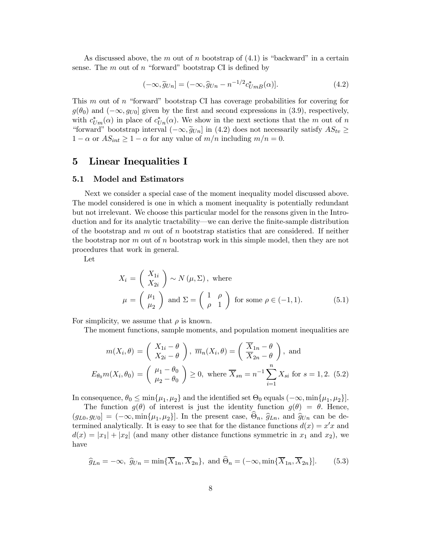As discussed above, the m out of n bootstrap of  $(4.1)$  is "backward" in a certain sense. The  $m$  out of  $n$  "forward" bootstrap CI is defined by

$$
(-\infty, \widetilde{g}_{Un}] = (-\infty, \widehat{g}_{Un} - n^{-1/2} c^*_{UmB}(\alpha)]. \tag{4.2}
$$

This m out of n "forward" bootstrap CI has coverage probabilities for covering for  $g(\theta_0)$  and  $(-\infty, g_{U0}]$  given by the first and second expressions in (3.9), respectively, with  $c_{Um}^*(\alpha)$  in place of  $c_{Un}^*(\alpha)$ . We show in the next sections that the m out of n "forward" bootstrap interval  $(-\infty, \tilde{g}_{Un}]$  in (4.2) does not necessarily satisfy  $AS_{tv} \geq$  $1 - \alpha$  or  $AS_{int} \ge 1 - \alpha$  for any value of  $m/n$  including  $m/n = 0$ .

### 5 Linear Inequalities I

#### 5.1 Model and Estimators

Next we consider a special case of the moment inequality model discussed above. The model considered is one in which a moment inequality is potentially redundant but not irrelevant. We choose this particular model for the reasons given in the Introduction and for its analytic tractability–we can derive the finite-sample distribution of the bootstrap and  $m$  out of  $n$  bootstrap statistics that are considered. If neither the bootstrap nor m out of n bootstrap work in this simple model, then they are not procedures that work in general.

Let

$$
X_i = \begin{pmatrix} X_{1i} \\ X_{2i} \end{pmatrix} \sim N(\mu, \Sigma), \text{ where}
$$
  

$$
\mu = \begin{pmatrix} \mu_1 \\ \mu_2 \end{pmatrix} \text{ and } \Sigma = \begin{pmatrix} 1 & \rho \\ \rho & 1 \end{pmatrix} \text{ for some } \rho \in (-1, 1).
$$
 (5.1)

For simplicity, we assume that  $\rho$  is known.

The moment functions, sample moments, and population moment inequalities are

$$
m(X_i, \theta) = \begin{pmatrix} X_{1i} - \theta \\ X_{2i} - \theta \end{pmatrix}, \overline{m}_n(X_i, \theta) = \begin{pmatrix} \overline{X}_{1n} - \theta \\ \overline{X}_{2n} - \theta \end{pmatrix}, \text{ and}
$$
  

$$
E_{\theta_0} m(X_i, \theta_0) = \begin{pmatrix} \mu_1 - \theta_0 \\ \mu_2 - \theta_0 \end{pmatrix} \ge 0, \text{ where } \overline{X}_{sn} = n^{-1} \sum_{i=1}^n X_{si} \text{ for } s = 1, 2. (5.2)
$$

In consequence,  $\theta_0 \leq \min\{\mu_1, \mu_2\}$  and the identified set  $\Theta_0$  equals  $(-\infty, \min\{\mu_1, \mu_2\}]$ .

The function  $g(\theta)$  of interest is just the identity function  $g(\theta) = \theta$ . Hence,  $(g_{L0}, g_{U0}] = (-\infty, \min{\mu_1, \mu_2}]$ . In the present case,  $\Theta_n$ ,  $\hat{g}_{Ln}$ , and  $\hat{g}_{Un}$  can be determined analytically. It is easy to see that for the distance functions  $d(x) = x^{\prime}x$  and  $d(x) = |x_1| + |x_2|$  (and many other distance functions symmetric in  $x_1$  and  $x_2$ ), we have

$$
\widehat{g}_{Ln} = -\infty
$$
,  $\widehat{g}_{Un} = \min{\{\overline{X}_{1n}, \overline{X}_{2n}\}}$ , and  $\widehat{\Theta}_n = (-\infty, \min{\{\overline{X}_{1n}, \overline{X}_{2n}\}}]$ . (5.3)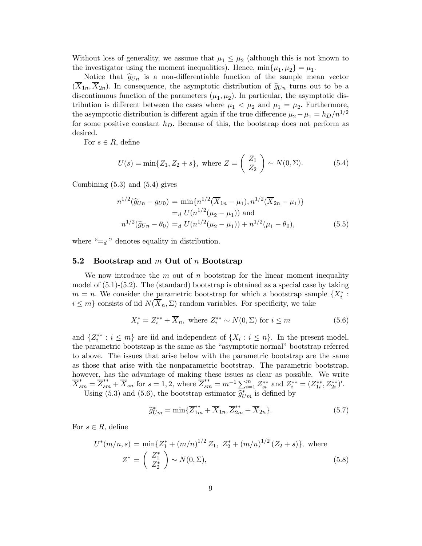Without loss of generality, we assume that  $\mu_1 \leq \mu_2$  (although this is not known to the investigator using the moment inequalities). Hence,  $\min{\{\mu_1, \mu_2\}} = \mu_1$ .

Notice that  $\hat{g}_{Un}$  is a non-differentiable function of the sample mean vector  $(X_{1n}, X_{2n})$ . In consequence, the asymptotic distribution of  $\hat{g}_{Un}$  turns out to be a discontinuous function of the parameters  $(\mu_1, \mu_2)$ . In particular, the asymptotic distribution is different between the cases where  $\mu_1 < \mu_2$  and  $\mu_1 = \mu_2$ . Furthermore, the asymptotic distribution is different again if the true difference  $\mu_2 - \mu_1 = h_D/n^{1/2}$ for some positive constant  $h<sub>D</sub>$ . Because of this, the bootstrap does not perform as desired.

For  $s \in R$ , define

$$
U(s) = \min\{Z_1, Z_2 + s\}, \text{ where } Z = \begin{pmatrix} Z_1 \\ Z_2 \end{pmatrix} \sim N(0, \Sigma). \tag{5.4}
$$

Combining  $(5.3)$  and  $(5.4)$  gives

$$
n^{1/2}(\hat{g}_{Un} - g_{U0}) = \min\{n^{1/2}(\overline{X}_{1n} - \mu_1), n^{1/2}(\overline{X}_{2n} - \mu_1)\}
$$
  
=  $d U(n^{1/2}(\mu_2 - \mu_1))$  and  

$$
n^{1/2}(\hat{g}_{Un} - \theta_0) = d U(n^{1/2}(\mu_2 - \mu_1)) + n^{1/2}(\mu_1 - \theta_0),
$$
 (5.5)

where " $=_d$ " denotes equality in distribution.

#### 5.2 Bootstrap and  $m$  Out of  $n$  Bootstrap

We now introduce the  $m$  out of  $n$  bootstrap for the linear moment inequality model of  $(5.1)-(5.2)$ . The (standard) bootstrap is obtained as a special case by taking  $m = n$ . We consider the parametric bootstrap for which a bootstrap sample  $\{X_i^* :$  $i \leq m$  consists of iid  $N(\overline{X}_n, \Sigma)$  random variables. For specificity, we take

$$
X_i^* = Z_i^{**} + \overline{X}_n, \text{ where } Z_i^{**} \sim N(0, \Sigma) \text{ for } i \le m
$$
 (5.6)

and  $\{Z_i^{**}: i \leq m\}$  are iid and independent of  $\{X_i : i \leq n\}$ . In the present model, the parametric bootstrap is the same as the "asymptotic normal" bootstrap referred to above. The issues that arise below with the parametric bootstrap are the same as those that arise with the nonparametric bootstrap. The parametric bootstrap, however, has the advantage of making these issues as clear as possible. We write  $\overline{X}_{sm}^* = \overline{Z}_{sm}^{**} + \overline{X}_{sn}$  for  $s = 1, 2$ , where  $\overline{Z}_{sm}^{**} = m^{-1} \sum_{i=1}^m Z_{si}^{**}$  and  $Z_i^{**} = (Z_{1i}^{**}, Z_{2i}^{**})'$ . Using (5.3) and (5.6), the bootstrap estimator  $\hat{g}^*_{Um}$  is defined by

$$
\widehat{g}^*_{Um} = \min \{ \overline{Z}_{1m}^{**} + \overline{X}_{1n}, \overline{Z}_{2m}^{**} + \overline{X}_{2n} \}. \tag{5.7}
$$

For  $s \in R$ , define

$$
U^*(m/n, s) = \min\{Z_1^* + (m/n)^{1/2} Z_1, Z_2^* + (m/n)^{1/2} (Z_2 + s)\}, \text{ where}
$$
  

$$
Z^* = \begin{pmatrix} Z_1^* \\ Z_2^* \end{pmatrix} \sim N(0, \Sigma), \tag{5.8}
$$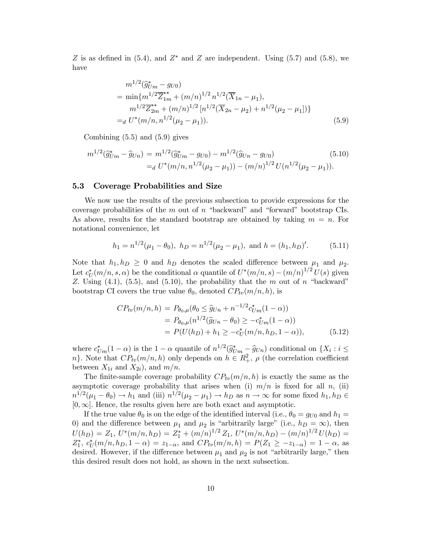Z is as defined in  $(5.4)$ , and  $Z^*$  and Z are independent. Using  $(5.7)$  and  $(5.8)$ , we have

$$
m^{1/2}(\hat{g}_{Um}^* - g_{U0})
$$
  
= min{ $m^{1/2}\overline{Z}_{1m}^{**} + (m/n)^{1/2} n^{1/2} (\overline{X}_{1n} - \mu_1),$   
 $m^{1/2}\overline{Z}_{2m}^{**} + (m/n)^{1/2} [n^{1/2} (\overline{X}_{2n} - \mu_2) + n^{1/2} (\mu_2 - \mu_1])$ }  
= $d U^*(m/n, n^{1/2} (\mu_2 - \mu_1)).$  (5.9)

Combining  $(5.5)$  and  $(5.9)$  gives

$$
m^{1/2}(\hat{g}_{Um}^* - \hat{g}_{Un}) = m^{1/2}(\hat{g}_{Um}^* - g_{U0}) - m^{1/2}(\hat{g}_{Un} - g_{U0})
$$
(5.10)  

$$
=_{d} U^*(m/n, n^{1/2}(\mu_2 - \mu_1)) - (m/n)^{1/2} U(n^{1/2}(\mu_2 - \mu_1)).
$$

#### 5.3 Coverage Probabilities and Size

We now use the results of the previous subsection to provide expressions for the coverage probabilities of the  $m$  out of  $n$  "backward" and "forward" bootstrap CIs. As above, results for the standard bootstrap are obtained by taking  $m = n$ . For notational convenience, let

$$
h_1 = n^{1/2}(\mu_1 - \theta_0), h_D = n^{1/2}(\mu_2 - \mu_1), \text{ and } h = (h_1, h_D)'
$$
. (5.11)

Note that  $h_1, h_D \geq 0$  and  $h_D$  denotes the scaled difference between  $\mu_1$  and  $\mu_2$ . Let  $c^*_{U}(m/n, s, \alpha)$  be the conditional  $\alpha$  quantile of  $U^*(m/n, s) - (m/n)^{1/2} U(s)$  given Z. Using  $(4.1)$ ,  $(5.5)$ , and  $(5.10)$ , the probability that the m out of n "backward" bootstrap CI covers the true value  $\theta_0$ , denoted  $CP_{tv}(m/n, h)$ , is

$$
CP_{tv}(m/n, h) = P_{\theta_0, \mu}(\theta_0 \le \hat{g}_{Un} + n^{-1/2} c_{Um}^*(1 - \alpha))
$$
  
=  $P_{\theta_0, \mu}(n^{1/2}(\hat{g}_{Un} - \theta_0) \ge -c_{Um}^*(1 - \alpha))$   
=  $P(U(h_D) + h_1 \ge -c_U^*(m/n, h_D, 1 - \alpha)),$  (5.12)

where  $c_{Um}^*(1-\alpha)$  is the  $1-\alpha$  quantile of  $n^{1/2}(\hat{g}_{Um}^*-\hat{g}_{Un})$  conditional on  $\{X_i : i \leq \dots \}$ n}. Note that  $CP_{tv}(m/n, h)$  only depends on  $h \in R_+^2$ ,  $\rho$  (the correlation coefficient between  $X_{1i}$  and  $X_{2i}$ , and  $m/n$ .

The finite-sample coverage probability  $CP_{tv}(m/n, h)$  is exactly the same as the asymptotic coverage probability that arises when (i)  $m/n$  is fixed for all n, (ii)  $n^{1/2}(\mu_1 - \theta_0) \to h_1$  and (iii)  $n^{1/2}(\mu_2 - \mu_1) \to h_D$  as  $n \to \infty$  for some fixed  $h_1, h_D \in$  $[0, \infty]$ . Hence, the results given here are both exact and asymptotic.

If the true value  $\theta_0$  is on the edge of the identified interval (i.e.,  $\theta_0 = g_{U0}$  and  $h_1 =$ 0) and the difference between  $\mu_1$  and  $\mu_2$  is "arbitrarily large" (i.e.,  $h_D = \infty$ ), then  $U(h_D) = Z_1, U^*(m/n, h_D) = Z_1^* + (m/n)^{1/2} Z_1, U^*(m/n, h_D) - (m/n)^{1/2} U(h_D) =$  $Z_1^*, c_U^*(m/n, h_D, 1 - \alpha) = z_{1-\alpha}, \text{ and } CP_{tv}(m/n, h) = P(Z_1 \ge -z_{1-\alpha}) = 1 - \alpha, \text{ as }$ desired. However, if the difference between  $\mu_1$  and  $\mu_2$  is not "arbitrarily large," then this desired result does not hold, as shown in the next subsection.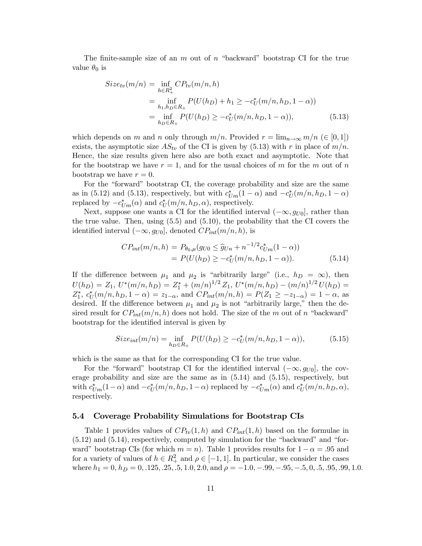The finite-sample size of an  $m$  out of  $n$  "backward" bootstrap CI for the true value  $\theta_0$  is

$$
Size_{tv}(m/n) = \inf_{h \in R_+^2} CP_{tv}(m/n, h)
$$
  
= 
$$
\inf_{h_1, h_D \in R_+} P(U(h_D) + h_1 \ge -c_U^*(m/n, h_D, 1 - \alpha))
$$
  
= 
$$
\inf_{h_D \in R_+} P(U(h_D) \ge -c_U^*(m/n, h_D, 1 - \alpha)),
$$
 (5.13)

which depends on m and n only through  $m/n$ . Provided  $r = \lim_{n \to \infty} m/n$  ( $\in [0, 1]$ ) exists, the asymptotic size  $AS_{tv}$  of the CI is given by (5.13) with r in place of  $m/n$ . Hence, the size results given here also are both exact and asymptotic. Note that for the bootstrap we have  $r = 1$ , and for the usual choices of m for the m out of n bootstrap we have  $r = 0$ .

For the "forward" bootstrap CI, the coverage probability and size are the same as in (5.12) and (5.13), respectively, but with  $c^*_{Um}(1-\alpha)$  and  $-c^*_{U}(m/n, h_D, 1-\alpha)$ replaced by  $-c_{Um}^{*}(\alpha)$  and  $c_{U}^{*}(m/n, h_D, \alpha)$ , respectively.

Next, suppose one wants a CI for the identified interval  $(-\infty, g_{U0}]$ , rather than the true value. Then, using (5.5) and (5.10), the probability that the CI covers the identified interval  $(-\infty, g_{U0}]$ , denoted  $CP_{int}(m/n, h)$ , is

$$
CP_{int}(m/n, h) = P_{\theta_0, \mu}(gv_0 \leq \hat{g}_{Un} + n^{-1/2} c^*_{Um}(1 - \alpha))
$$
  
=  $P(U(h_D) \geq -c^*_{U}(m/n, h_D, 1 - \alpha)).$  (5.14)

If the difference between  $\mu_1$  and  $\mu_2$  is "arbitrarily large" (i.e.,  $h_D = \infty$ ), then  $U(h_D) = Z_1, U^*(m/n, h_D) = Z_1^* + (m/n)^{1/2} Z_1, U^*(m/n, h_D) - (m/n)^{1/2} U(h_D) =$  $Z_1^*, c_U^*(m/n, h_D, 1 - \alpha) = z_{1-\alpha}, \text{ and } CP_{int}(m/n, h) = P(Z_1 \ge -z_{1-\alpha}) = 1 - \alpha, \text{ as }$ desired. If the difference between  $\mu_1$  and  $\mu_2$  is not "arbitrarily large," then the desired result for  $CP_{int}(m/n, h)$  does not hold. The size of the m out of n "backward" bootstrap for the identified interval is given by

$$
Size_{int}(m/n) = \inf_{h_D \in R_+} P(U(h_D) \ge -c_U^*(m/n, h_D, 1 - \alpha)), \tag{5.15}
$$

which is the same as that for the corresponding CI for the true value.

For the "forward" bootstrap CI for the identified interval  $(-\infty, g_{U0}]$ , the coverage probability and size are the same as in (5.14) and (5.15), respectively, but with  $c_{Um}^*(1-\alpha)$  and  $-c_{U}^*(m/n, h_D, 1-\alpha)$  replaced by  $-c_{Um}^*(\alpha)$  and  $c_{U}^*(m/n, h_D, \alpha)$ , respectively.

#### 5.4 Coverage Probability Simulations for Bootstrap CIs

Table 1 provides values of  $CP_{tv}(1, h)$  and  $CP_{int}(1, h)$  based on the formulae in (5.12) and (5.14), respectively, computed by simulation for the "backward" and "forward" bootstrap CIs (for which  $m = n$ ). Table 1 provides results for  $1 - \alpha = .95$  and for a variety of values of  $h \in \mathbb{R}^2_+$  and  $\rho \in [-1, 1]$ . In particular, we consider the cases where  $h_1 = 0$ ,  $h_D = 0$ , .125, .25, .5, 1.0, 2.0, and  $\rho = -1.0, -0.99, -0.95, -0.5, 0.5, 0.95, 0.99, 1.0.$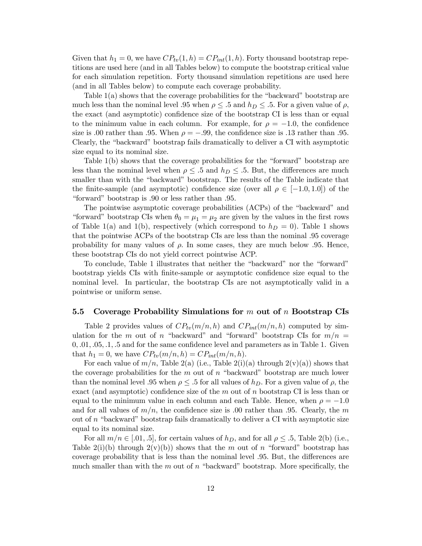Given that  $h_1 = 0$ , we have  $CP_{tv}(1, h) = CP_{int}(1, h)$ . Forty thousand bootstrap repetitions are used here (and in all Tables below) to compute the bootstrap critical value for each simulation repetition. Forty thousand simulation repetitions are used here (and in all Tables below) to compute each coverage probability.

Table 1(a) shows that the coverage probabilities for the "backward" bootstrap are much less than the nominal level .95 when  $\rho \leq .5$  and  $h_D \leq .5$ . For a given value of  $\rho$ , the exact (and asymptotic) confidence size of the bootstrap CI is less than or equal to the minimum value in each column. For example, for  $\rho = -1.0$ , the confidence size is .00 rather than .95. When  $\rho = -.99$ , the confidence size is .13 rather than .95. Clearly, the "backward" bootstrap fails dramatically to deliver a CI with asymptotic size equal to its nominal size.

Table 1(b) shows that the coverage probabilities for the "forward" bootstrap are less than the nominal level when  $\rho \leq .5$  and  $h_D \leq .5$ . But, the differences are much smaller than with the "backward" bootstrap. The results of the Table indicate that the finite-sample (and asymptotic) confidence size (over all  $\rho \in [-1.0, 1.0]$ ) of the "forward" bootstrap is .90 or less rather than .95.

The pointwise asymptotic coverage probabilities (ACPs) of the "backward" and "forward" bootstrap CIs when  $\theta_0 = \mu_1 = \mu_2$  are given by the values in the first rows of Table 1(a) and 1(b), respectively (which correspond to  $h_D = 0$ ). Table 1 shows that the pointwise ACPs of the bootstrap CIs are less than the nominal .95 coverage probability for many values of  $\rho$ . In some cases, they are much below .95. Hence, these bootstrap CIs do not yield correct pointwise ACP.

To conclude, Table 1 illustrates that neither the "backward" nor the "forward" bootstrap yields CIs with finite-sample or asymptotic confidence size equal to the nominal level. In particular, the bootstrap CIs are not asymptotically valid in a pointwise or uniform sense.

#### 5.5 Coverage Probability Simulations for m out of n Bootstrap CIs

Table 2 provides values of  $CP_{tv}(m/n, h)$  and  $CP_{int}(m/n, h)$  computed by simulation for the m out of n "backward" and "forward" bootstrap CIs for  $m/n =$ 0, .01, .05, .1, .5 and for the same confidence level and parameters as in Table 1. Given that  $h_1 = 0$ , we have  $CP_{tv}(m/n, h) = CP_{int}(m/n, h)$ .

For each value of  $m/n$ , Table 2(a) (i.e., Table 2(i)(a) through 2(v)(a)) shows that the coverage probabilities for the  $m$  out of  $n$  "backward" bootstrap are much lower than the nominal level .95 when  $\rho \leq .5$  for all values of  $h_D$ . For a given value of  $\rho$ , the exact (and asymptotic) confidence size of the  $m$  out of  $n$  bootstrap CI is less than or equal to the minimum value in each column and each Table. Hence, when  $\rho = -1.0$ and for all values of  $m/n$ , the confidence size is .00 rather than .95. Clearly, the m out of  $n$  "backward" bootstrap fails dramatically to deliver a CI with asymptotic size equal to its nominal size.

For all  $m/n \in [0.01, 0.5]$ , for certain values of  $h_D$ , and for all  $\rho \leq .5$ , Table 2(b) (i.e., Table 2(i)(b) through 2(v)(b)) shows that the m out of n "forward" bootstrap has coverage probability that is less than the nominal level .95. But, the differences are much smaller than with the  $m$  out of  $n$  "backward" bootstrap. More specifically, the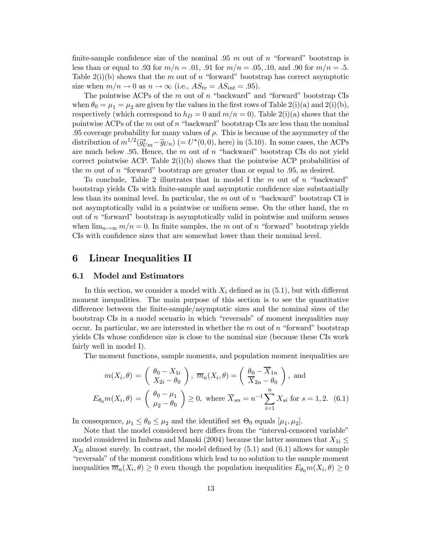finite-sample confidence size of the nominal .95 m out of n "forward" bootstrap is less than or equal to .93 for  $m/n = .01, .91$  for  $m/n = .05, .10,$  and .90 for  $m/n = .5$ . Table  $2(i)(b)$  shows that the m out of n "forward" bootstrap has correct asymptotic size when  $m/n \to 0$  as  $n \to \infty$  (i.e.,  $AS_{tv} = AS_{int} = .95$ ).

The pointwise ACPs of the  $m$  out of  $n$  "backward" and "forward" bootstrap CIs when  $\theta_0 = \mu_1 = \mu_2$  are given by the values in the first rows of Table 2(i)(a) and 2(i)(b), respectively (which correspond to  $h_D = 0$  and  $m/n = 0$ ). Table 2(i)(a) shows that the pointwise ACPs of the  $m$  out of  $n$  "backward" bootstrap CIs are less than the nominal .95 coverage probability for many values of  $\rho$ . This is because of the asymmetry of the distribution of  $m^{1/2}(\hat{g}_{Um}^*-\hat{g}_{Un}) (= U^*(0,0),$  here) in (5.10). In some cases, the ACPs are much below .95. Hence, the  $m$  out of  $n$  "backward" bootstrap CIs do not yield correct pointwise ACP. Table  $2(i)(b)$  shows that the pointwise ACP probabilities of the  $m$  out of  $n$  "forward" bootstrap are greater than or equal to .95, as desired.

To conclude, Table 2 illustrates that in model I the  $m$  out of  $n$  "backward" bootstrap yields CIs with finite-sample and asymptotic confidence size substantially less than its nominal level. In particular, the  $m$  out of  $n$  "backward" bootstrap CI is not asymptotically valid in a pointwise or uniform sense. On the other hand, the  $m$ out of n "forward" bootstrap is asymptotically valid in pointwise and uniform senses when  $\lim_{n\to\infty} m/n = 0$ . In finite samples, the m out of n "forward" bootstrap yields CIs with confidence sizes that are somewhat lower than their nominal level.

### 6 Linear Inequalities II

#### 6.1 Model and Estimators

In this section, we consider a model with  $X_i$  defined as in  $(5.1)$ , but with different moment inequalities. The main purpose of this section is to see the quantitative difference between the finite-sample/asymptotic sizes and the nominal sizes of the bootstrap CIs in a model scenario in which "reversals" of moment inequalities may occur. In particular, we are interested in whether the  $m$  out of  $n$  "forward" bootstrap yields CIs whose confidence size is close to the nominal size (because these CIs work fairly well in model I).

The moment functions, sample moments, and population moment inequalities are

$$
m(X_i, \theta) = \begin{pmatrix} \theta_0 - X_{1i} \\ X_{2i} - \theta_0 \end{pmatrix}, \overline{m}_n(X_i, \theta) = \begin{pmatrix} \theta_0 - \overline{X}_{1n} \\ \overline{X}_{2n} - \theta_0 \end{pmatrix}, \text{ and}
$$
  

$$
E_{\theta_0}m(X_i, \theta) = \begin{pmatrix} \theta_0 - \mu_1 \\ \mu_2 - \theta_0 \end{pmatrix} \ge 0, \text{ where } \overline{X}_{sn} = n^{-1} \sum_{i=1}^n X_{si} \text{ for } s = 1, 2. (6.1)
$$

In consequence,  $\mu_1 \leq \theta_0 \leq \mu_2$  and the identified set  $\Theta_0$  equals  $[\mu_1, \mu_2]$ .

Note that the model considered here differs from the "interval-censored variable" model considered in Imbens and Manski (2004) because the latter assumes that  $X_{1i} \leq$  $X_{2i}$  almost surely. In contrast, the model defined by (5.1) and (6.1) allows for sample "reversals" of the moment conditions which lead to no solution to the sample moment inequalities  $\overline{m}_n(X_i, \theta) \geq 0$  even though the population inequalities  $E_{\theta_0} m(X_i, \theta) \geq 0$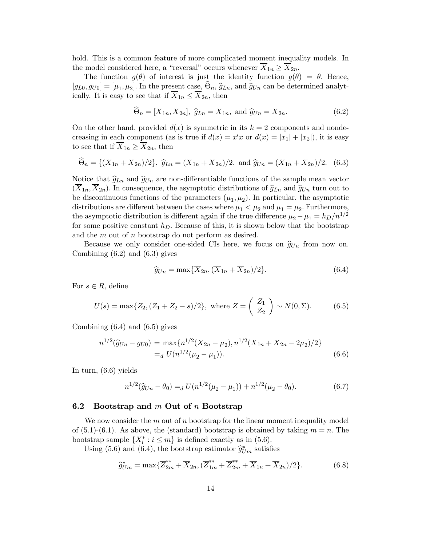hold. This is a common feature of more complicated moment inequality models. In the model considered here, a "reversal" occurs whenever  $\overline{X}_{1n} \geq \overline{X}_{2n}$ .

The function  $g(\theta)$  of interest is just the identity function  $g(\theta) = \theta$ . Hence,  $[g_{L0}, g_{U0}]=[\mu_1, \mu_2]$ . In the present case,  $\widehat{\Theta}_n$ ,  $\widehat{g}_{Ln}$ , and  $\widehat{g}_{Un}$  can be determined analytically. It is easy to see that if  $\overline{X}_{1n} \leq \overline{X}_{2n}$ , then

$$
\widehat{\Theta}_n = [\overline{X}_{1n}, \overline{X}_{2n}], \ \widehat{g}_{Ln} = \overline{X}_{1n}, \text{ and } \widehat{g}_{Un} = \overline{X}_{2n}.
$$
 (6.2)

On the other hand, provided  $d(x)$  is symmetric in its  $k = 2$  components and nondecreasing in each component (as is true if  $d(x) = x'x$  or  $d(x) = |x_1| + |x_2|$ ), it is easy to see that if  $\overline{X}_{1n} \geq \overline{X}_{2n}$ , then

$$
\widehat{\Theta}_n = \{ (\overline{X}_{1n} + \overline{X}_{2n})/2 \}, \ \widehat{g}_{Ln} = (\overline{X}_{1n} + \overline{X}_{2n})/2, \text{ and } \widehat{g}_{Un} = (\overline{X}_{1n} + \overline{X}_{2n})/2. \tag{6.3}
$$

Notice that  $\hat{g}_{Ln}$  and  $\hat{g}_{Un}$  are non-differentiable functions of the sample mean vector  $(X_{1n}, X_{2n})$ . In consequence, the asymptotic distributions of  $\hat{g}_{Ln}$  and  $\hat{g}_{Un}$  turn out to be discontinuous functions of the parameters  $(\mu_1, \mu_2)$ . In particular, the asymptotic distributions are different between the cases where  $\mu_1 < \mu_2$  and  $\mu_1 = \mu_2$ . Furthermore, the asymptotic distribution is different again if the true difference  $\mu_2 - \mu_1 = h_D/n^{1/2}$ for some positive constant  $h<sub>D</sub>$ . Because of this, it is shown below that the bootstrap and the m out of n bootstrap do not perform as desired.

Because we only consider one-sided CIs here, we focus on  $\hat{g}_{Un}$  from now on. Combining  $(6.2)$  and  $(6.3)$  gives

$$
\widehat{g}_{Un} = \max\{\overline{X}_{2n}, (\overline{X}_{1n} + \overline{X}_{2n})/2\}.
$$
\n(6.4)

For  $s \in R$ , define

$$
U(s) = \max\{Z_2, (Z_1 + Z_2 - s)/2\}, \text{ where } Z = \begin{pmatrix} Z_1 \\ Z_2 \end{pmatrix} \sim N(0, \Sigma). \tag{6.5}
$$

Combining  $(6.4)$  and  $(6.5)$  gives

$$
n^{1/2}(\widehat{g}_{Un} - g_{U0}) = \max\{n^{1/2}(\overline{X}_{2n} - \mu_2), n^{1/2}(\overline{X}_{1n} + \overline{X}_{2n} - 2\mu_2)/2\}
$$
  
=  $d U(n^{1/2}(\mu_2 - \mu_1)).$  (6.6)

In turn, (6.6) yields

$$
n^{1/2}(\hat{g}_{Un} - \theta_0) =_d U(n^{1/2}(\mu_2 - \mu_1)) + n^{1/2}(\mu_2 - \theta_0).
$$
 (6.7)

#### 6.2 Bootstrap and  $m$  Out of  $n$  Bootstrap

We now consider the  $m$  out of  $n$  bootstrap for the linear moment inequality model of  $(5.1)-(6.1)$ . As above, the (standard) bootstrap is obtained by taking  $m = n$ . The bootstrap sample  $\{X_i^* : i \leq m\}$  is defined exactly as in (5.6).

Using (5.6) and (6.4), the bootstrap estimator  $\hat{g}^*_{U_m}$  satisfies

$$
\widehat{g}^*_{Um} = \max \{ \overline{Z}_{2m}^{**} + \overline{X}_{2n}, (\overline{Z}_{1m}^{**} + \overline{Z}_{2m}^{**} + \overline{X}_{1n} + \overline{X}_{2n})/2 \}.
$$
 (6.8)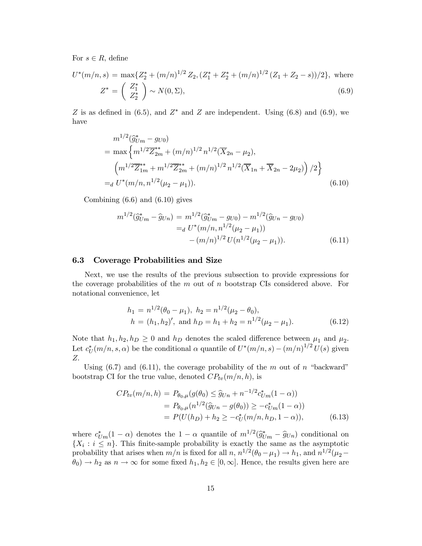For  $s \in R$ , define

$$
U^*(m/n, s) = \max\{Z_2^* + (m/n)^{1/2} Z_2, (Z_1^* + Z_2^* + (m/n)^{1/2} (Z_1 + Z_2 - s))/2\}, \text{ where}
$$
  

$$
Z^* = \begin{pmatrix} Z_1^* \\ Z_2^* \end{pmatrix} \sim N(0, \Sigma),
$$
 (6.9)

Z is as defined in (6.5), and  $Z^*$  and Z are independent. Using (6.8) and (6.9), we have

$$
m^{1/2}(\hat{g}_{Um}^* - g_{U0})
$$
  
= max  $\left\{ m^{1/2} \overline{Z}_{2m}^{**} + (m/n)^{1/2} n^{1/2} (\overline{X}_{2n} - \mu_2), \right\}$   

$$
\left( m^{1/2} \overline{Z}_{1m}^{**} + m^{1/2} \overline{Z}_{2m}^{**} + (m/n)^{1/2} n^{1/2} (\overline{X}_{1n} + \overline{X}_{2n} - 2\mu_2) \right) / 2 \right\}
$$
  
= $d U^*(m/n, n^{1/2} (\mu_2 - \mu_1)).$  (6.10)

Combining  $(6.6)$  and  $(6.10)$  gives

$$
m^{1/2}(\hat{g}_{Um}^* - \hat{g}_{Un}) = m^{1/2}(\hat{g}_{Um}^* - g_{U0}) - m^{1/2}(\hat{g}_{Un} - g_{U0})
$$
  
=
$$
_d U^*(m/n, n^{1/2}(\mu_2 - \mu_1))
$$
  

$$
- (m/n)^{1/2} U(n^{1/2}(\mu_2 - \mu_1)).
$$
 (6.11)

#### 6.3 Coverage Probabilities and Size

Next, we use the results of the previous subsection to provide expressions for the coverage probabilities of the  $m$  out of  $n$  bootstrap CIs considered above. For notational convenience, let

$$
h_1 = n^{1/2}(\theta_0 - \mu_1), \ h_2 = n^{1/2}(\mu_2 - \theta_0),
$$
  
\n
$$
h = (h_1, h_2)', \text{ and } h_D = h_1 + h_2 = n^{1/2}(\mu_2 - \mu_1).
$$
\n(6.12)

Note that  $h_1, h_2, h_D \geq 0$  and  $h_D$  denotes the scaled difference between  $\mu_1$  and  $\mu_2$ . Let  $c^*_{U}(m/n, s, \alpha)$  be the conditional  $\alpha$  quantile of  $U^*(m/n, s) - (m/n)^{1/2} U(s)$  given Z.

Using  $(6.7)$  and  $(6.11)$ , the coverage probability of the m out of n "backward" bootstrap CI for the true value, denoted  $CP_{tv}(m/n, h)$ , is

$$
CP_{tv}(m/n, h) = P_{\theta_0, \mu}(g(\theta_0) \leq \hat{g}_{Un} + n^{-1/2} c_{Um}^*(1 - \alpha))
$$
  
=  $P_{\theta_0, \mu}(n^{1/2}(\hat{g}_{Un} - g(\theta_0)) \geq -c_{Um}^*(1 - \alpha))$   
=  $P(U(h_D) + h_2 \geq -c_U^*(m/n, h_D, 1 - \alpha)),$  (6.13)

where  $c_{Um}^*(1-\alpha)$  denotes the  $1-\alpha$  quantile of  $m^{1/2}(\hat{g}_{Um}^*-\hat{g}_{Un})$  conditional on  $\{X_i : i \leq n\}$ . This finite-sample probability is exactly the same as the asymptotic probability that arises when  $m/n$  is fixed for all  $n, n^{1/2}(\theta_0 - \mu_1) \to h_1$ , and  $n^{1/2}(\mu_2 \theta_0$   $\rightarrow$  h<sub>2</sub> as  $n \rightarrow \infty$  for some fixed  $h_1, h_2 \in [0, \infty]$ . Hence, the results given here are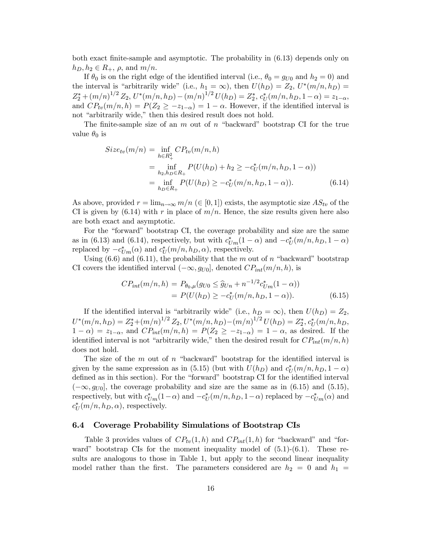both exact finite-sample and asymptotic. The probability in (6.13) depends only on  $h_D, h_2 \in R_+, \rho$ , and  $m/n$ .

If  $\theta_0$  is on the right edge of the identified interval (i.e.,  $\theta_0 = g_{U0}$  and  $h_2 = 0$ ) and the interval is "arbitrarily wide" (i.e.,  $h_1 = \infty$ ), then  $U(h_D) = Z_2, U^*(m/n, h_D) =$  $Z_2^* + (m/n)^{1/2} Z_2, U^*(m/n, h_D) - (m/n)^{1/2} U(h_D) = Z_2^*, c_U^*(m/n, h_D, 1 - \alpha) = z_{1-\alpha},$ and  $CP_{tv}(m/n, h) = P(Z_2 \geq -z_{1-\alpha}) = 1 - \alpha$ . However, if the identified interval is not "arbitrarily wide," then this desired result does not hold.

The finite-sample size of an  $m$  out of  $n$  "backward" bootstrap CI for the true value  $\theta_0$  is

$$
Size_{tv}(m/n) = \inf_{h \in R_+^2} CP_{tv}(m/n, h)
$$
  
= 
$$
\inf_{h_2, h_0 \in R_+} P(U(h_D) + h_2 \ge -c_U^*(m/n, h_D, 1 - \alpha))
$$
  
= 
$$
\inf_{h_D \in R_+} P(U(h_D) \ge -c_U^*(m/n, h_D, 1 - \alpha)).
$$
 (6.14)

As above, provided  $r = \lim_{n \to \infty} m/n$  ( $\in [0, 1]$ ) exists, the asymptotic size  $AS_{tv}$  of the CI is given by  $(6.14)$  with r in place of  $m/n$ . Hence, the size results given here also are both exact and asymptotic.

For the "forward" bootstrap CI, the coverage probability and size are the same as in (6.13) and (6.14), respectively, but with  $c^*_{Um}(1-\alpha)$  and  $-c^*_{U}(m/n, h_D, 1-\alpha)$ replaced by  $-c_{Um}^*(\alpha)$  and  $c_U^*(m/n, h_D, \alpha)$ , respectively.

Using  $(6.6)$  and  $(6.11)$ , the probability that the m out of n "backward" bootstrap CI covers the identified interval  $(-\infty, g_{U0}]$ , denoted  $CP_{int}(m/n, h)$ , is

$$
CP_{int}(m/n, h) = P_{\theta_0, \mu}(gv_0 \leq \hat{g}_{Un} + n^{-1/2} c^*_{Um}(1 - \alpha))
$$
  
=  $P(U(h_D) \geq -c^*_{U}(m/n, h_D, 1 - \alpha)).$  (6.15)

If the identified interval is "arbitrarily wide" (i.e.,  $h_D = \infty$ ), then  $U(h_D) = Z_2$ ,  $U^*(m/n, h_D) = Z_2^* + (m/n)^{1/2} Z_2, U^*(m/n, h_D) - (m/n)^{1/2} U(h_D) = Z_2^*, c_U^*(m/n, h_D, h_D)$  $1 - \alpha$ ) =  $z_{1-\alpha}$ , and  $CP_{int}(m/n, h) = P(Z_2 \ge -z_{1-\alpha}) = 1 - \alpha$ , as desired. If the identified interval is not "arbitrarily wide," then the desired result for  $CP_{int}(m/n, h)$ does not hold.

The size of the  $m$  out of  $n$  "backward" bootstrap for the identified interval is given by the same expression as in (5.15) (but with  $U(h_D)$  and  $c^*_{U}(m/n, h_D, 1 - \alpha)$ defined as in this section). For the "forward" bootstrap CI for the identified interval  $(-\infty, g_{U0}]$ , the coverage probability and size are the same as in (6.15) and (5.15), respectively, but with  $c_{Um}^*(1-\alpha)$  and  $-c_{U}^*(m/n, h_D, 1-\alpha)$  replaced by  $-c_{Um}^*(\alpha)$  and  $c^*_{U}(m/n, h_D, \alpha)$ , respectively.

#### 6.4 Coverage Probability Simulations of Bootstrap CIs

Table 3 provides values of  $CP_{tv}(1, h)$  and  $CP_{int}(1, h)$  for "backward" and "forward" bootstrap CIs for the moment inequality model of  $(5.1)-(6.1)$ . These results are analogous to those in Table 1, but apply to the second linear inequality model rather than the first. The parameters considered are  $h_2 = 0$  and  $h_1 =$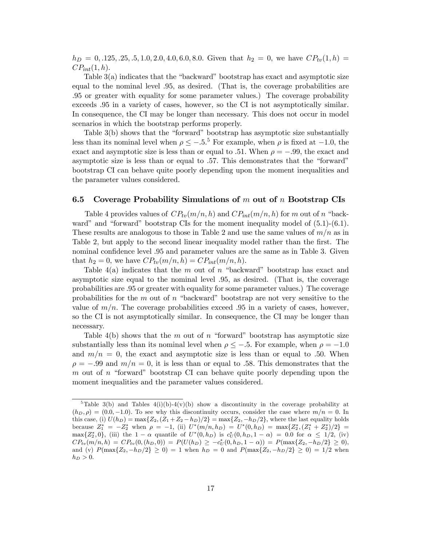$h_D = 0, 125, 25, 5, 10, 2.0, 4.0, 6.0, 8.0$ . Given that  $h_2 = 0$ , we have  $CP_{tv}(1, h) =$  $CP_{int}(1, h).$ 

Table 3(a) indicates that the "backward" bootstrap has exact and asymptotic size equal to the nominal level .95, as desired. (That is, the coverage probabilities are .95 or greater with equality for some parameter values.) The coverage probability exceeds .95 in a variety of cases, however, so the CI is not asymptotically similar. In consequence, the CI may be longer than necessary. This does not occur in model scenarios in which the bootstrap performs properly.

Table 3(b) shows that the "forward" bootstrap has asymptotic size substantially less than its nominal level when  $\rho \le -.5$ <sup>5</sup> For example, when  $\rho$  is fixed at -1.0, the exact and asymptotic size is less than or equal to .51. When  $\rho = -.99$ , the exact and asymptotic size is less than or equal to .57. This demonstrates that the "forward" bootstrap CI can behave quite poorly depending upon the moment inequalities and the parameter values considered.

#### 6.5 Coverage Probability Simulations of m out of n Bootstrap CIs

Table 4 provides values of  $CP_{tv}(m/n, h)$  and  $CP_{int}(m/n, h)$  for m out of n "backward" and "forward" bootstrap CIs for the moment inequality model of  $(5.1)-(6.1)$ . These results are analogous to those in Table 2 and use the same values of  $m/n$  as in Table 2, but apply to the second linear inequality model rather than the first. The nominal confidence level .95 and parameter values are the same as in Table 3. Given that  $h_2 = 0$ , we have  $CP_{tv}(m/n, h) = CP_{int}(m/n, h)$ .

Table  $4(a)$  indicates that the m out of n "backward" bootstrap has exact and asymptotic size equal to the nominal level .95, as desired. (That is, the coverage probabilities are .95 or greater with equality for some parameter values.) The coverage probabilities for the  $m$  out of  $n$  "backward" bootstrap are not very sensitive to the value of  $m/n$ . The coverage probabilities exceed .95 in a variety of cases, however, so the CI is not asymptotically similar. In consequence, the CI may be longer than necessary.

Table  $4(b)$  shows that the m out of n "forward" bootstrap has asymptotic size substantially less than its nominal level when  $\rho \le -.5$ . For example, when  $\rho = -1.0$ and  $m/n = 0$ , the exact and asymptotic size is less than or equal to .50. When  $\rho = -.99$  and  $m/n = 0$ , it is less than or equal to .58. This demonstrates that the  $m$  out of  $n$  "forward" bootstrap CI can behave quite poorly depending upon the moment inequalities and the parameter values considered.

<sup>&</sup>lt;sup>5</sup>Table 3(b) and Tables 4(i)(b)-4(v)(b) show a discontinuity in the coverage probability at  $(h_D, \rho) = (0.0, -1.0)$ . To see why this discontinuity occurs, consider the case where  $m/n = 0$ . In this case, (i)  $U(h_D) = \max\{Z_2,(Z_1 + Z_2 - h_D)/2\} = \max\{Z_2, -h_D/2\}$ , where the last equality holds because  $Z_1^* = -Z_2^*$  when  $\rho = -1$ , (ii)  $U^*(m/n, h_D) = U^*(0, h_D) = \max\{Z_2^*, (Z_1^* + Z_2^*)/2\} =$  $\max\{Z_2^*,0\}$ , (iii) the  $1-\alpha$  quantile of  $U^*(0,h_D)$  is  $c^*_{U}(0,h_D,1-\alpha) = 0.0$  for  $\alpha \leq 1/2$ , (iv)  $CP_{tv}(m/n, h) = CP_{tv}(0, (h_D, 0)) = P(U(h_D) \geq -c^*_{U}(0, h_D, 1-\alpha)) = P(\max\{Z_2, -h_D/2\} \geq 0),$ and (v)  $P(\max\{Z_2, -h_D/2\} \ge 0) = 1$  when  $h_D = 0$  and  $P(\max\{Z_2, -h_D/2\} \ge 0) = 1/2$  when  $h_D > 0.$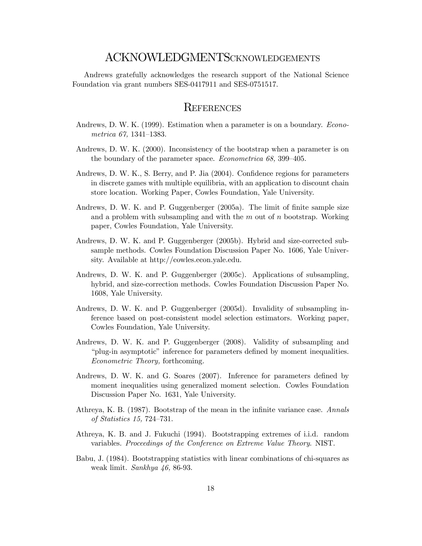# ACKNOWLEDGMENTSCKNOWLEDGEMENTS

Andrews gratefully acknowledges the research support of the National Science Foundation via grant numbers SES-0417911 and SES-0751517.

### **REFERENCES**

- Andrews, D. W. K. (1999). Estimation when a parameter is on a boundary. Econometrica 67, 1341—1383.
- Andrews, D. W. K. (2000). Inconsistency of the bootstrap when a parameter is on the boundary of the parameter space. Econometrica 68, 399—405.
- Andrews, D. W. K., S. Berry, and P. Jia (2004). Confidence regions for parameters in discrete games with multiple equilibria, with an application to discount chain store location. Working Paper, Cowles Foundation, Yale University.
- Andrews, D. W. K. and P. Guggenberger (2005a). The limit of finite sample size and a problem with subsampling and with the  $m$  out of  $n$  bootstrap. Working paper, Cowles Foundation, Yale University.
- Andrews, D. W. K. and P. Guggenberger (2005b). Hybrid and size-corrected subsample methods. Cowles Foundation Discussion Paper No. 1606, Yale University. Available at http://cowles.econ.yale.edu.
- Andrews, D. W. K. and P. Guggenberger (2005c). Applications of subsampling, hybrid, and size-correction methods. Cowles Foundation Discussion Paper No. 1608, Yale University.
- Andrews, D. W. K. and P. Guggenberger (2005d). Invalidity of subsampling inference based on post-consistent model selection estimators. Working paper, Cowles Foundation, Yale University.
- Andrews, D. W. K. and P. Guggenberger (2008). Validity of subsampling and "plug-in asymptotic" inference for parameters defined by moment inequalities. Econometric Theory, forthcoming.
- Andrews, D. W. K. and G. Soares (2007). Inference for parameters defined by moment inequalities using generalized moment selection. Cowles Foundation Discussion Paper No. 1631, Yale University.
- Athreya, K. B. (1987). Bootstrap of the mean in the infinite variance case. Annals of Statistics 15, 724—731.
- Athreya, K. B. and J. Fukuchi (1994). Bootstrapping extremes of i.i.d. random variables. Proceedings of the Conference on Extreme Value Theory. NIST.
- Babu, J. (1984). Bootstrapping statistics with linear combinations of chi-squares as weak limit. Sankhya  $46, 86-93$ .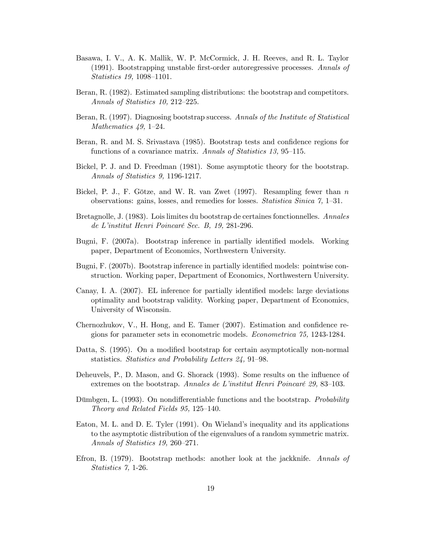- Basawa, I. V., A. K. Mallik, W. P. McCormick, J. H. Reeves, and R. L. Taylor (1991). Bootstrapping unstable first-order autoregressive processes. Annals of Statistics 19, 1098—1101.
- Beran, R. (1982). Estimated sampling distributions: the bootstrap and competitors. Annals of Statistics 10, 212—225.
- Beran, R. (1997). Diagnosing bootstrap success. Annals of the Institute of Statistical Mathematics 49, 1—24.
- Beran, R. and M. S. Srivastava (1985). Bootstrap tests and confidence regions for functions of a covariance matrix. Annals of Statistics 13, 95-115.
- Bickel, P. J. and D. Freedman (1981). Some asymptotic theory for the bootstrap. Annals of Statistics 9, 1196-1217.
- Bickel, P. J., F. Götze, and W. R. van Zwet  $(1997)$ . Resampling fewer than n observations: gains, losses, and remedies for losses. Statistica Sinica 7, 1—31.
- Bretagnolle, J. (1983). Lois limites du bootstrap de certaines fonctionnelles. Annales de L'institut Henri Poincaré Sec. B, 19, 281-296.
- Bugni, F. (2007a). Bootstrap inference in partially identified models. Working paper, Department of Economics, Northwestern University.
- Bugni, F. (2007b). Bootstrap inference in partially identified models: pointwise construction. Working paper, Department of Economics, Northwestern University.
- Canay, I. A. (2007). EL inference for partially identified models: large deviations optimality and bootstrap validity. Working paper, Department of Economics, University of Wisconsin.
- Chernozhukov, V., H. Hong, and E. Tamer (2007). Estimation and confidence regions for parameter sets in econometric models. Econometrica 75, 1243-1284.
- Datta, S. (1995). On a modified bootstrap for certain asymptotically non-normal statistics. Statistics and Probability Letters 24, 91—98.
- Deheuvels, P., D. Mason, and G. Shorack (1993). Some results on the influence of extremes on the bootstrap. Annales de L'institut Henri Poincaré 29, 83—103.
- Dümbgen, L. (1993). On nondifferentiable functions and the bootstrap. *Probability* Theory and Related Fields 95, 125—140.
- Eaton, M. L. and D. E. Tyler (1991). On Wieland's inequality and its applications to the asymptotic distribution of the eigenvalues of a random symmetric matrix. Annals of Statistics 19, 260—271.
- Efron, B. (1979). Bootstrap methods: another look at the jackknife. Annals of Statistics 7, 1-26.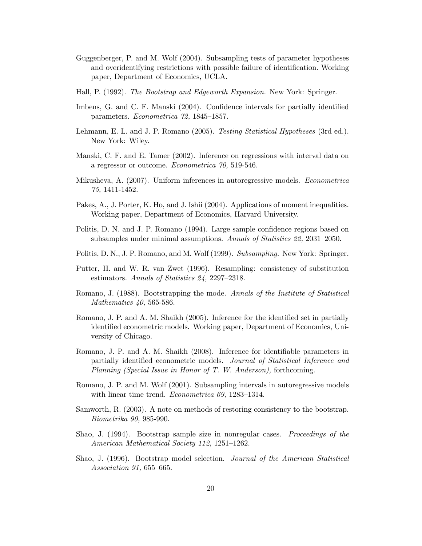- Guggenberger, P. and M. Wolf (2004). Subsampling tests of parameter hypotheses and overidentifying restrictions with possible failure of identification. Working paper, Department of Economics, UCLA.
- Hall, P. (1992). The Bootstrap and Edgeworth Expansion. New York: Springer.
- Imbens, G. and C. F. Manski (2004). Confidence intervals for partially identified parameters. Econometrica 72, 1845—1857.
- Lehmann, E. L. and J. P. Romano (2005). Testing Statistical Hypotheses (3rd ed.). New York: Wiley.
- Manski, C. F. and E. Tamer (2002). Inference on regressions with interval data on a regressor or outcome. Econometrica 70, 519-546.
- Mikusheva, A. (2007). Uniform inferences in autoregressive models. Econometrica 75, 1411-1452.
- Pakes, A., J. Porter, K. Ho, and J. Ishii (2004). Applications of moment inequalities. Working paper, Department of Economics, Harvard University.
- Politis, D. N. and J. P. Romano (1994). Large sample confidence regions based on subsamples under minimal assumptions. Annals of Statistics 22, 2031—2050.
- Politis, D. N., J. P. Romano, and M. Wolf (1999). Subsampling. New York: Springer.
- Putter, H. and W. R. van Zwet (1996). Resampling: consistency of substitution estimators. Annals of Statistics 24, 2297—2318.
- Romano, J. (1988). Bootstrapping the mode. Annals of the Institute of Statistical Mathematics 40, 565-586.
- Romano, J. P. and A. M. Shaikh (2005). Inference for the identified set in partially identified econometric models. Working paper, Department of Economics, University of Chicago.
- Romano, J. P. and A. M. Shaikh (2008). Inference for identifiable parameters in partially identified econometric models. Journal of Statistical Inference and Planning (Special Issue in Honor of T. W. Anderson), forthcoming.
- Romano, J. P. and M. Wolf (2001). Subsampling intervals in autoregressive models with linear time trend. *Econometrica 69*, 1283–1314.
- Samworth, R. (2003). A note on methods of restoring consistency to the bootstrap. Biometrika 90, 985-990.
- Shao, J. (1994). Bootstrap sample size in nonregular cases. Proceedings of the American Mathematical Society 112, 1251—1262.
- Shao, J. (1996). Bootstrap model selection. Journal of the American Statistical Association 91, 655—665.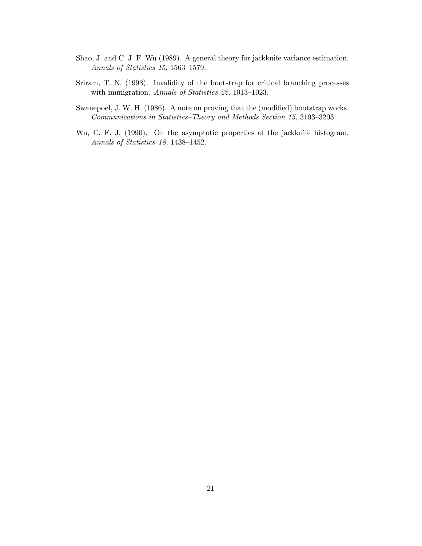- Shao, J. and C. J. F. Wu (1989). A general theory for jackknife variance estimation. Annals of Statistics 15, 1563—1579.
- Sriram, T. N. (1993). Invalidity of the bootstrap for critical branching processes with immigration. Annals of Statistics 22, 1013—1023.
- Swanepoel, J. W. H. (1986). A note on proving that the (modified) bootstrap works. Communications in Statistics—Theory and Methods Section 15, 3193—3203.
- Wu, C. F. J. (1990). On the asymptotic properties of the jackknife histogram. Annals of Statistics 18, 1438—1452.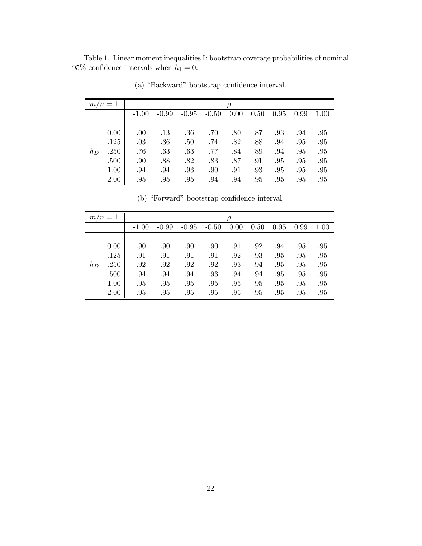Table 1. Linear moment inequalities I: bootstrap coverage probabilities of nominal 95% confidence intervals when  $h_1 = 0$ .

|       | $m/n=1$ |         |         |         |         |      |      |      |      |      |
|-------|---------|---------|---------|---------|---------|------|------|------|------|------|
|       |         | $-1.00$ | $-0.99$ | $-0.95$ | $-0.50$ | 0.00 | 0.50 | 0.95 | 0.99 | 1.00 |
|       |         |         |         |         |         |      |      |      |      |      |
|       | 0.00    | .00     | .13     | .36     | .70     | .80  | .87  | .93  | .94  | .95  |
|       | .125    | .03     | .36     | .50     | .74     | .82  | .88  | .94  | .95  | .95  |
| $h_D$ | .250    | .76     | .63     | .63     | .77     | .84  | .89  | .94  | .95  | .95  |
|       | .500    | .90     | .88     | .82     | .83     | .87  | .91  | .95  | .95  | .95  |
|       | 1.00    | .94     | .94     | .93     | .90     | .91  | .93  | .95  | .95  | .95  |
|       | 2.00    | .95     | .95     | .95     | .94     | .94  | .95  | .95  | .95  | .95  |

(a) "Backward" bootstrap confidence interval.

|  | (b) "Forward" bootstrap confidence interval. |  |  |  |
|--|----------------------------------------------|--|--|--|
|--|----------------------------------------------|--|--|--|

| $m/n=1$ |                                      |                                 |                                 |                                 |                                 |                                 |                                     |                                 |                                 |                                 |
|---------|--------------------------------------|---------------------------------|---------------------------------|---------------------------------|---------------------------------|---------------------------------|-------------------------------------|---------------------------------|---------------------------------|---------------------------------|
|         |                                      | $-1.00$                         | $-0.99$                         | $-0.95$                         | $-0.50$                         | 0.00                            | 0.50                                | 0.95                            | 0.99                            | 1.00                            |
| $h_D$   | 0.00<br>.125<br>.250<br>.500<br>1.00 | .90<br>.91<br>.92<br>.94<br>.95 | .90<br>.91<br>.92<br>.94<br>.95 | .90<br>.91<br>.92<br>.94<br>.95 | .90<br>.91<br>.92<br>.93<br>.95 | .91<br>.92<br>.93<br>.94<br>.95 | $.92\,$<br>.93<br>.94<br>.94<br>.95 | .94<br>.95<br>.95<br>.95<br>.95 | .95<br>.95<br>.95<br>.95<br>.95 | .95<br>.95<br>.95<br>.95<br>.95 |
|         | 2.00                                 | .95                             | .95                             | .95                             | .95                             | .95                             | .95                                 | .95                             | .95                             | .95                             |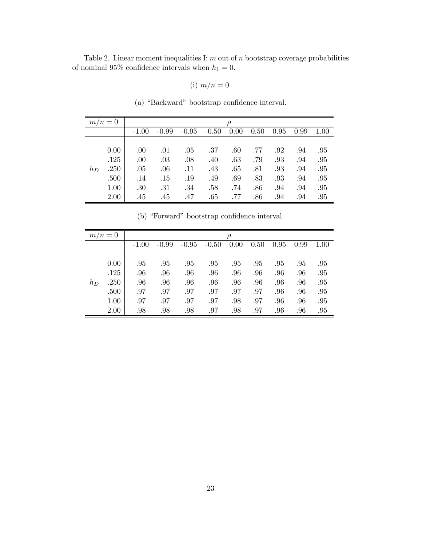Table 2. Linear moment inequalities  $\Gamma: m$  out of n bootstrap coverage probabilities of nominal 95% confidence intervals when  $h_1 = 0$ .

(i) 
$$
m/n = 0
$$
.

|       | $m/n=0$ |         |         |         |         |      |      |      |      |      |
|-------|---------|---------|---------|---------|---------|------|------|------|------|------|
|       |         | $-1.00$ | $-0.99$ | $-0.95$ | $-0.50$ | 0.00 | 0.50 | 0.95 | 0.99 | 1.00 |
|       |         |         |         |         |         |      |      |      |      |      |
|       | 0.00    | .00     | .01     | .05     | .37     | .60  | .77  | .92  | .94  | .95  |
|       | .125    | .00     | .03     | .08     | .40     | .63  | .79  | .93  | .94  | .95  |
| $h_D$ | .250    | .05     | .06     | .11     | .43     | .65  | .81  | .93  | .94  | .95  |
|       | .500    | .14     | .15     | .19     | .49     | .69  | .83  | .93  | .94  | .95  |
|       | 1.00    | .30     | .31     | .34     | .58     | .74  | .86  | .94  | .94  | .95  |
|       | 2.00    | .45     | .45     | .47     | .65     | .77  | .86  | .94  | .94  | .95  |

(a) "Backward" bootstrap confidence interval.

|       | $m/n=0$ |         |         |         |         |      |      |      |      |      |
|-------|---------|---------|---------|---------|---------|------|------|------|------|------|
|       |         | $-1.00$ | $-0.99$ | $-0.95$ | $-0.50$ | 0.00 | 0.50 | 0.95 | 0.99 | 1.00 |
|       |         |         |         |         |         |      |      |      |      |      |
|       | 0.00    | .95     | .95     | .95     | .95     | .95  | .95  | .95  | .95  | .95  |
|       | .125    | .96     | .96     | .96     | .96     | .96  | .96  | .96  | .96  | .95  |
| $h_D$ | .250    | .96     | .96     | .96     | .96     | .96  | .96  | .96  | .96  | .95  |
|       | .500    | .97     | .97     | .97     | .97     | .97  | .97  | .96  | .96  | .95  |
|       | 1.00    | .97     | .97     | .97     | .97     | .98  | .97  | .96  | .96  | .95  |
|       | 2.00    | .98     | .98     | .98     | .97     | .98  | .97  | .96  | .96  | .95  |

(b) "Forward" bootstrap confidence interval.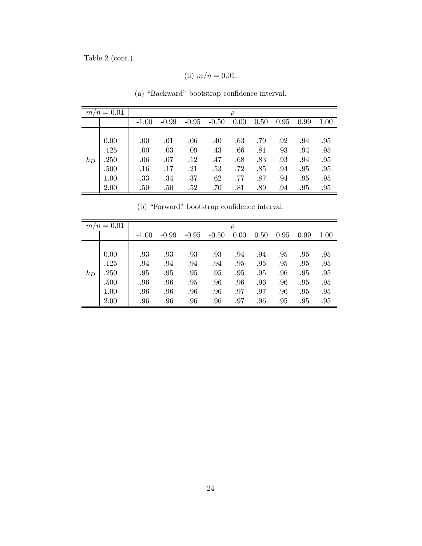(ii) 
$$
m/n = 0.01
$$
.

|  | (a) "Backward" bootstrap confidence interval. |  |  |  |
|--|-----------------------------------------------|--|--|--|
|--|-----------------------------------------------|--|--|--|

|       | $m/n = 0.01$ |         |         |         |         | ρ    |      |      |      |      |
|-------|--------------|---------|---------|---------|---------|------|------|------|------|------|
|       |              | $-1.00$ | $-0.99$ | $-0.95$ | $-0.50$ | 0.00 | 0.50 | 0.95 | 0.99 | 1.00 |
|       |              |         |         |         |         |      |      |      |      |      |
|       | 0.00         | .00     | .01     | .06     | .40     | .63  | .79  | .92  | .94  | .95  |
|       | .125         | .00     | .03     | .09     | .43     | .66  | .81  | .93  | .94  | .95  |
| $h_D$ | .250         | .06     | .07     | $.12\,$ | .47     | .68  | .83  | .93  | .94  | .95  |
|       | .500         | .16     | .17     | .21     | .53     | .72  | .85  | .94  | .95  | .95  |
|       | 1.00         | .33     | .34     | .37     | .62     | .77  | .87  | .94  | .95  | .95  |
|       | 2.00         | .50     | .50     | .52     | .70     | .81  | .89  | .94  | .95  | .95  |

(b) "Forward" bootstrap confidence interval.

|       | $m/n = 0.01$ |         |         |         |         | $\rho$ |      |      |      |      |
|-------|--------------|---------|---------|---------|---------|--------|------|------|------|------|
|       |              | $-1.00$ | $-0.99$ | $-0.95$ | $-0.50$ | 0.00   | 0.50 | 0.95 | 0.99 | 1.00 |
|       |              |         |         |         |         |        |      |      |      |      |
|       | 0.00         | .93     | .93     | .93     | .93     | .94    | .94  | .95  | .95  | .95  |
|       | .125         | .94     | .94     | .94     | .94     | .95    | .95  | .95  | .95  | .95  |
| $h_D$ | .250         | .95     | .95     | .95     | .95     | .95    | .95  | .96  | .95  | .95  |
|       | .500         | .96     | .96     | .95     | .96     | .96    | .96  | .96  | .95  | .95  |
|       | 1.00         | .96     | .96     | .96     | .96     | .97    | .97  | .96  | .95  | .95  |
|       | 2.00         | .96     | .96     | .96     | .96     | .97    | .96  | .95  | .95  | .95  |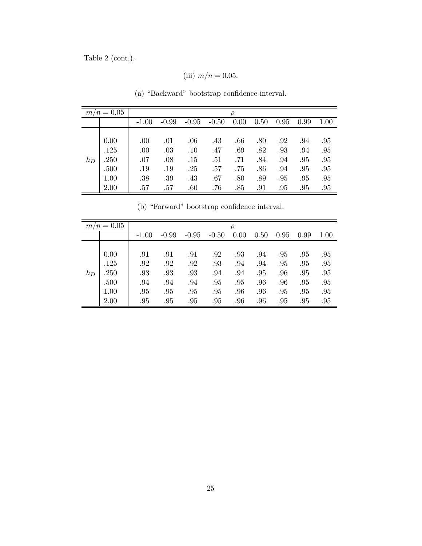(iii) 
$$
m/n = 0.05
$$
.

|  | (a) "Backward" bootstrap confidence interval. |  |  |  |
|--|-----------------------------------------------|--|--|--|
|--|-----------------------------------------------|--|--|--|

|       | $m/n = 0.05$ |         |         |         |         | ρ    |      |      |      |      |
|-------|--------------|---------|---------|---------|---------|------|------|------|------|------|
|       |              | $-1.00$ | $-0.99$ | $-0.95$ | $-0.50$ | 0.00 | 0.50 | 0.95 | 0.99 | 1.00 |
|       |              |         |         |         |         |      |      |      |      |      |
|       | 0.00         | .00     | .01     | .06     | .43     | .66  | .80  | .92  | .94  | .95  |
|       | .125         | .00     | .03     | .10     | .47     | .69  | .82  | .93  | .94  | .95  |
| $h_D$ | .250         | .07     | .08     | .15     | .51     | .71  | .84  | .94  | .95  | .95  |
|       | .500         | .19     | .19     | .25     | .57     | .75  | .86  | .94  | .95  | .95  |
|       | 1.00         | .38     | .39     | .43     | .67     | .80  | .89  | .95  | .95  | .95  |
|       | 2.00         | .57     | .57     | .60     | .76     | .85  | .91  | .95  | .95  | .95  |

(b) "Forward" bootstrap confidence interval.

|       | $m/n = 0.05$ | ρ       |         |         |         |      |      |      |      |      |
|-------|--------------|---------|---------|---------|---------|------|------|------|------|------|
|       |              | $-1.00$ | $-0.99$ | $-0.95$ | $-0.50$ | 0.00 | 0.50 | 0.95 | 0.99 | 1.00 |
|       |              |         |         |         |         |      |      |      |      |      |
|       | 0.00         | .91     | .91     | .91     | .92     | .93  | .94  | .95  | .95  | .95  |
|       | .125         | .92     | .92     | .92     | .93     | .94  | .94  | .95  | .95  | .95  |
| $h_D$ | .250         | .93     | .93     | .93     | .94     | .94  | .95  | .96  | .95  | .95  |
|       | .500         | .94     | .94     | .94     | .95     | .95  | .96  | .96  | .95  | .95  |
|       | 1.00         | .95     | .95     | .95     | .95     | .96  | .96  | .95  | .95  | .95  |
|       | 2.00         | .95     | .95     | .95     | .95     | .96  | .96  | .95  | .95  | .95  |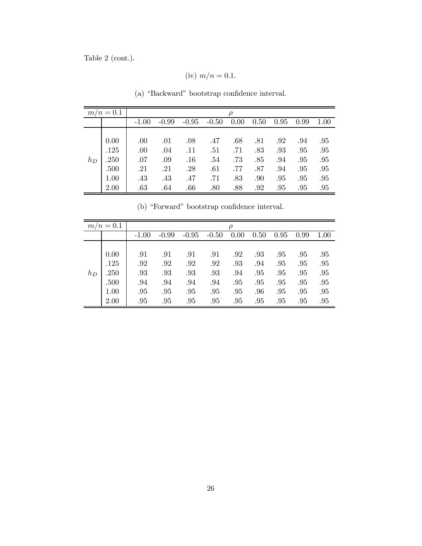(iv) 
$$
m/n = 0.1
$$
.

|  | (a) "Backward" bootstrap confidence interval. |  |  |  |
|--|-----------------------------------------------|--|--|--|
|--|-----------------------------------------------|--|--|--|

| $m/n = 0.1$ |      |         |         |         |         |      |      |      |      |      |
|-------------|------|---------|---------|---------|---------|------|------|------|------|------|
|             |      | $-1.00$ | $-0.99$ | $-0.95$ | $-0.50$ | 0.00 | 0.50 | 0.95 | 0.99 | 1.00 |
|             |      |         |         |         |         |      |      |      |      |      |
|             | 0.00 | .00.    | .01     | .08     | .47     | .68  | .81  | .92  | .94  | .95  |
|             | .125 | .00.    | .04     | .11     | .51     | .71  | .83  | .93  | .95  | .95  |
| $h_D$       | .250 | .07     | .09     | $.16\,$ | .54     | .73  | .85  | .94  | .95  | .95  |
|             | .500 | .21     | .21     | .28     | .61     | .77  | .87  | .94  | .95  | .95  |
|             | 1.00 | .43     | .43     | .47     | .71     | .83  | .90  | .95  | .95  | .95  |
|             | 2.00 | .63     | .64     | .66     | .80     | .88  | .92  | .95  | .95  | .95  |

(b) "Forward" bootstrap confidence interval.

|       | $m/n = 0.1$ |         |         |         |         |      |         |      |       |      |  |  |
|-------|-------------|---------|---------|---------|---------|------|---------|------|-------|------|--|--|
|       |             | $-1.00$ | $-0.99$ | $-0.95$ | $-0.50$ | 0.00 | 0.50    | 0.95 | -0.99 | 1.00 |  |  |
|       |             |         |         |         |         |      |         |      |       |      |  |  |
|       | 0.00        | .91     | .91     | .91     | .91     | .92  | $.93\,$ | .95  | .95   | .95  |  |  |
|       | .125        | .92     | .92     | .92     | .92     | .93  | .94     | .95  | .95   | .95  |  |  |
| $h_D$ | .250        | .93     | .93     | .93     | .93     | .94  | .95     | .95  | .95   | .95  |  |  |
|       | .500        | .94     | .94     | .94     | .94     | .95  | .95     | .95  | .95   | .95  |  |  |
|       | 1.00        | .95     | .95     | .95     | .95     | .95  | .96     | .95  | .95   | .95  |  |  |
|       | 2.00        | .95     | .95     | .95     | .95     | .95  | .95     | .95  | .95   | .95  |  |  |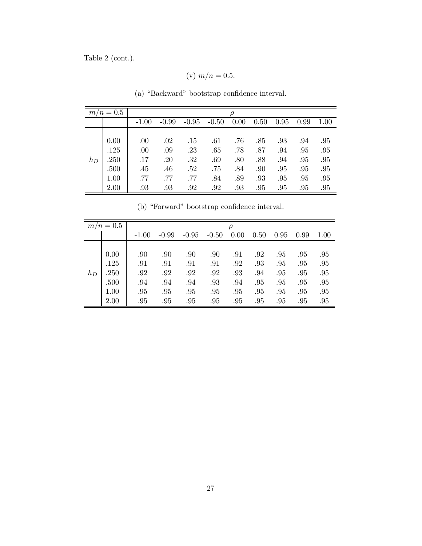(v) 
$$
m/n = 0.5
$$
.

|  | (a) "Backward" bootstrap confidence interval. |  |  |  |
|--|-----------------------------------------------|--|--|--|
|--|-----------------------------------------------|--|--|--|

|       | $m/n = 0.5$ |         | $\rho$  |         |         |      |      |      |      |      |  |  |
|-------|-------------|---------|---------|---------|---------|------|------|------|------|------|--|--|
|       |             | $-1.00$ | $-0.99$ | $-0.95$ | $-0.50$ | 0.00 | 0.50 | 0.95 | 0.99 | 1.00 |  |  |
|       |             |         |         |         |         |      |      |      |      |      |  |  |
|       | 0.00        | .00.    | .02     | .15     | .61     | .76  | .85  | .93  | .94  | .95  |  |  |
|       | .125        | .00     | .09     | .23     | .65     | .78  | .87  | .94  | .95  | .95  |  |  |
| $h_D$ | .250        | .17     | .20     | .32     | .69     | .80  | .88  | .94  | .95  | .95  |  |  |
|       | .500        | .45     | .46     | .52     | .75     | .84  | .90  | .95  | .95  | .95  |  |  |
|       | 1.00        | .77     | .77     | .77     | .84     | .89  | .93  | .95  | .95  | .95  |  |  |
|       | 2.00        | .93     | .93     | .92     | .92     | .93  | .95  | .95  | .95  | .95  |  |  |

(b) "Forward" bootstrap confidence interval.

| $m/n=0.5$ |      |         |         |         |         |      |         |      |       |      |  |  |
|-----------|------|---------|---------|---------|---------|------|---------|------|-------|------|--|--|
|           |      | $-1.00$ | $-0.99$ | $-0.95$ | $-0.50$ | 0.00 | 0.50    | 0.95 | -0.99 | 1.00 |  |  |
|           |      |         |         |         |         |      |         |      |       |      |  |  |
|           | 0.00 | .90     | .90     | .90     | $.90\,$ | .91  | $.92\,$ | .95  | .95   | .95  |  |  |
|           | .125 | .91     | .91     | .91     | .91     | .92  | .93     | .95  | .95   | .95  |  |  |
| $h_D$     | .250 | .92     | .92     | .92     | .92     | .93  | .94     | .95  | .95   | .95  |  |  |
|           | .500 | .94     | .94     | .94     | .93     | .94  | .95     | .95  | .95   | .95  |  |  |
|           | 1.00 | .95     | .95     | .95     | .95     | .95  | .95     | .95  | .95   | .95  |  |  |
|           | 2.00 | .95     | .95     | .95     | .95     | .95  | .95     | .95  | .95   | .95  |  |  |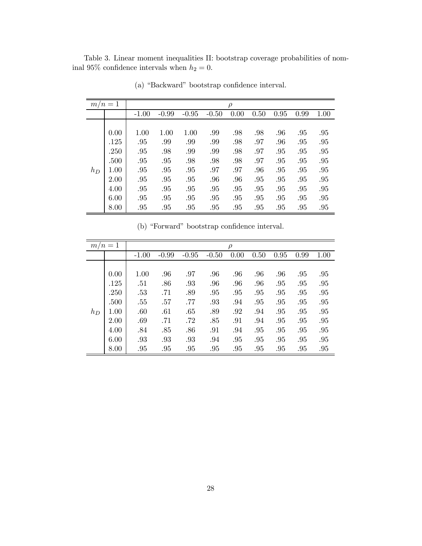Table 3. Linear moment inequalities II: bootstrap coverage probabilities of nominal 95% confidence intervals when  $h_2 = 0$ .

|       | $m/n=1$ |         |         |         |         | $\rho$ |      |      |      |      |
|-------|---------|---------|---------|---------|---------|--------|------|------|------|------|
|       |         | $-1.00$ | $-0.99$ | $-0.95$ | $-0.50$ | 0.00   | 0.50 | 0.95 | 0.99 | 1.00 |
|       |         |         |         |         |         |        |      |      |      |      |
|       | 0.00    | 1.00    | 1.00    | 1.00    | .99     | .98    | .98  | .96  | .95  | .95  |
|       | .125    | .95     | .99     | .99     | .99     | .98    | .97  | .96  | .95  | .95  |
|       | .250    | .95     | .98     | .99     | .99     | .98    | .97  | .95  | .95  | .95  |
|       | .500    | .95     | .95     | .98     | .98     | .98    | .97  | .95  | .95  | .95  |
| $h_D$ | 1.00    | .95     | .95     | .95     | .97     | .97    | .96  | .95  | .95  | .95  |
|       | 2.00    | .95     | .95     | .95     | .96     | .96    | .95  | .95  | .95  | .95  |
|       | 4.00    | .95     | .95     | .95     | .95     | .95    | .95  | .95  | .95  | .95  |
|       | 6.00    | .95     | .95     | .95     | .95     | .95    | .95  | .95  | .95  | .95  |
|       | 8.00    | .95     | .95     | .95     | .95     | .95    | .95  | .95  | .95  | .95  |

(a) "Backward" bootstrap confidence interval.

|       | $m/n=1$ |         |         |         |         | $\rho$ |      |      |      |      |
|-------|---------|---------|---------|---------|---------|--------|------|------|------|------|
|       |         | $-1.00$ | $-0.99$ | $-0.95$ | $-0.50$ | 0.00   | 0.50 | 0.95 | 0.99 | 1.00 |
|       |         |         |         |         |         |        |      |      |      |      |
|       | 0.00    | 1.00    | .96     | .97     | .96     | .96    | .96  | .96  | .95  | .95  |
|       | .125    | .51     | .86     | .93     | .96     | .96    | .96  | .95  | .95  | .95  |
|       | .250    | .53     | .71     | .89     | .95     | .95    | .95  | .95  | .95  | .95  |
|       | .500    | .55     | .57     | .77     | .93     | .94    | .95  | .95  | .95  | .95  |
| $h_D$ | 1.00    | .60     | .61     | .65     | .89     | .92    | .94  | .95  | .95  | .95  |
|       | 2.00    | .69     | .71     | .72     | .85     | .91    | .94  | .95  | .95  | .95  |
|       | 4.00    | .84     | .85     | .86     | .91     | .94    | .95  | .95  | .95  | .95  |
|       | 6.00    | .93     | .93     | .93     | .94     | .95    | .95  | .95  | .95  | .95  |
|       | 8.00    | .95     | .95     | .95     | .95     | .95    | .95  | .95  | .95  | .95  |

(b) "Forward" bootstrap confidence interval.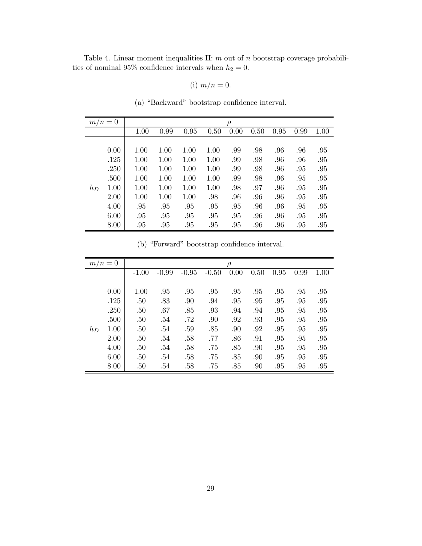Table 4. Linear moment inequalities II:  $m$  out of  $n$  bootstrap coverage probabilities of nominal 95% confidence intervals when  $h_2 = 0$ .

(i) 
$$
m/n = 0
$$
.

|       | $m/n=0$ |         |         |         |         | $\rho$ |      |      |      |      |
|-------|---------|---------|---------|---------|---------|--------|------|------|------|------|
|       |         | $-1.00$ | $-0.99$ | $-0.95$ | $-0.50$ | 0.00   | 0.50 | 0.95 | 0.99 | 1.00 |
|       |         |         |         |         |         |        |      |      |      |      |
|       | 0.00    | 1.00    | 1.00    | 1.00    | 1.00    | .99    | .98  | .96  | .96  | .95  |
|       | .125    | 1.00    | 1.00    | 1.00    | 1.00    | .99    | .98  | .96  | .96  | .95  |
|       | .250    | 1.00    | 1.00    | 1.00    | 1.00    | .99    | .98  | .96  | .95  | .95  |
|       | .500    | 1.00    | 1.00    | 1.00    | 1.00    | .99    | .98  | .96  | .95  | .95  |
| $h_D$ | 1.00    | 1.00    | 1.00    | 1.00    | 1.00    | .98    | .97  | .96  | .95  | .95  |
|       | 2.00    | 1.00    | 1.00    | 1.00    | .98     | .96    | .96  | .96  | .95  | .95  |
|       | 4.00    | .95     | .95     | .95     | .95     | .95    | .96  | .96  | .95  | .95  |
|       | 6.00    | .95     | .95     | .95     | .95     | .95    | .96  | .96  | .95  | .95  |
|       | 8.00    | .95     | .95     | .95     | .95     | .95    | .96  | .96  | .95  | .95  |

(a) "Backward" bootstrap confidence interval.

(b) "Forward" bootstrap confidence interval.

|       | $m/n=0$ |         |         |         |         |      |      |      |      |      |  |
|-------|---------|---------|---------|---------|---------|------|------|------|------|------|--|
|       |         | $-1.00$ | $-0.99$ | $-0.95$ | $-0.50$ | 0.00 | 0.50 | 0.95 | 0.99 | 1.00 |  |
|       |         |         |         |         |         |      |      |      |      |      |  |
|       | 0.00    | 1.00    | .95     | .95     | .95     | .95  | .95  | .95  | .95  | .95  |  |
|       | .125    | .50     | .83     | .90     | .94     | .95  | .95  | .95  | .95  | .95  |  |
|       | .250    | .50     | .67     | .85     | .93     | .94  | .94  | .95  | .95  | .95  |  |
|       | .500    | .50     | .54     | .72     | .90     | .92  | .93  | .95  | .95  | .95  |  |
| $h_D$ | 1.00    | .50     | .54     | .59     | .85     | .90  | .92  | .95  | .95  | .95  |  |
|       | 2.00    | .50     | .54     | .58     | .77     | .86  | .91  | .95  | .95  | .95  |  |
|       | 4.00    | .50     | .54     | .58     | .75     | .85  | .90  | .95  | .95  | .95  |  |
|       | 6.00    | .50     | .54     | .58     | .75     | .85  | .90  | .95  | .95  | .95  |  |
|       | 8.00    | .50     | .54     | .58     | .75     | .85  | .90  | .95  | .95  | .95  |  |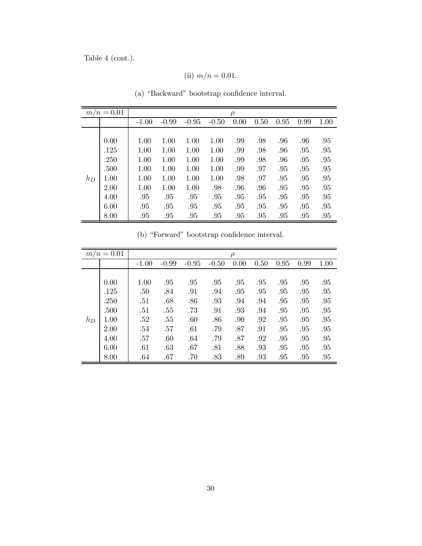(ii) 
$$
m/n = 0.01
$$
.

| (a) "Backward" bootstrap confidence interval. |  |  |  |
|-----------------------------------------------|--|--|--|
|-----------------------------------------------|--|--|--|

|       | $m/n = 0.01$ |         |         |         |         | $\rho$ |      |      |      |      |
|-------|--------------|---------|---------|---------|---------|--------|------|------|------|------|
|       |              | $-1.00$ | $-0.99$ | $-0.95$ | $-0.50$ | 0.00   | 0.50 | 0.95 | 0.99 | 1.00 |
|       |              |         |         |         |         |        |      |      |      |      |
|       | 0.00         | 1.00    | 1.00    | 1.00    | 1.00    | .99    | .98  | .96  | .96  | .95  |
|       | .125         | 1.00    | 1.00    | 1.00    | 1.00    | .99    | .98  | .96  | .95  | .95  |
|       | .250         | 1.00    | 1.00    | 1.00    | 1.00    | .99    | .98  | .96  | .95  | .95  |
|       | .500         | 1.00    | 1.00    | 1.00    | 1.00    | .99    | .97  | .95  | .95  | .95  |
| $h_D$ | 1.00         | 1.00    | 1.00    | 1.00    | 1.00    | .98    | .97  | .95  | .95  | .95  |
|       | 2.00         | 1.00    | 1.00    | 1.00    | .98     | .96    | .96  | .95  | .95  | .95  |
|       | 4.00         | .95     | .95     | .95     | .95     | .95    | .95  | .95  | .95  | .95  |
|       | 6.00         | .95     | .95     | .95     | .95     | .95    | .95  | .95  | .95  | .95  |
|       | 8.00         | .95     | .95     | .95     | .95     | .95    | .95  | .95  | .95  | .95  |

|  | (b) "Forward" bootstrap confidence interval. |  |  |  |
|--|----------------------------------------------|--|--|--|
|--|----------------------------------------------|--|--|--|

| $m/n = 0.01$ |      | ρ       |         |         |         |      |      |      |      |      |  |  |
|--------------|------|---------|---------|---------|---------|------|------|------|------|------|--|--|
|              |      | $-1.00$ | $-0.99$ | $-0.95$ | $-0.50$ | 0.00 | 0.50 | 0.95 | 0.99 | 1.00 |  |  |
|              |      |         |         |         |         |      |      |      |      |      |  |  |
|              | 0.00 | 1.00    | .95     | .95     | .95     | .95  | .95  | .95  | .95  | .95  |  |  |
|              | .125 | .50     | .84     | .91     | .94     | .95  | .95  | .95  | .95  | .95  |  |  |
|              | .250 | .51     | .68     | .86     | .93     | .94  | .94  | .95  | .95  | .95  |  |  |
|              | .500 | .51     | .55     | .73     | .91     | .93  | .94  | .95  | .95  | .95  |  |  |
| $h_D$        | 1.00 | .52     | .55     | .60     | .86     | .90  | .92  | .95  | .95  | .95  |  |  |
|              | 2.00 | .54     | .57     | .61     | .79     | .87  | .91  | .95  | .95  | .95  |  |  |
|              | 4.00 | .57     | .60     | .64     | .79     | .87  | .92  | .95  | .95  | .95  |  |  |
|              | 6.00 | .61     | .63     | .67     | .81     | .88  | .93  | .95  | .95  | .95  |  |  |
|              | 8.00 | .64     | .67     | .70     | .83     | .89  | .93  | .95  | .95  | .95  |  |  |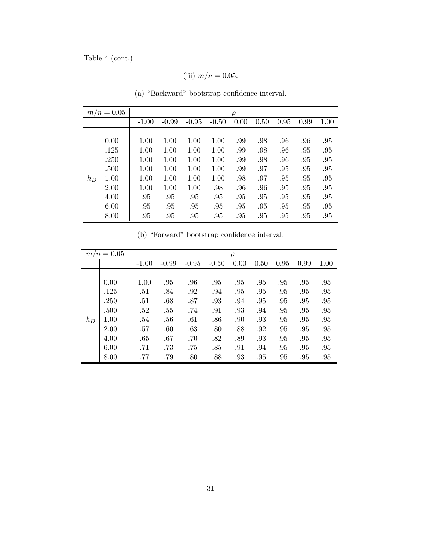(iii) 
$$
m/n = 0.05
$$
.

| $m/n = 0.05$ |      | $\rho$  |         |         |         |      |      |      |      |      |  |
|--------------|------|---------|---------|---------|---------|------|------|------|------|------|--|
|              |      | $-1.00$ | $-0.99$ | $-0.95$ | $-0.50$ | 0.00 | 0.50 | 0.95 | 0.99 | 1.00 |  |
|              |      |         |         |         |         |      |      |      |      |      |  |
|              | 0.00 | 1.00    | 1.00    | 1.00    | 1.00    | .99  | .98  | .96  | .96  | .95  |  |
|              | .125 | 1.00    | 1.00    | 1.00    | 1.00    | .99  | .98  | .96  | .95  | .95  |  |
|              | .250 | 1.00    | 1.00    | 1.00    | 1.00    | .99  | .98  | .96  | .95  | .95  |  |
|              | .500 | 1.00    | 1.00    | 1.00    | 1.00    | .99  | .97  | .95  | .95  | .95  |  |
| $h_D$        | 1.00 | 1.00    | 1.00    | 1.00    | 1.00    | .98  | .97  | .95  | .95  | .95  |  |
|              | 2.00 | 1.00    | 1.00    | 1.00    | .98     | .96  | .96  | .95  | .95  | .95  |  |
|              | 4.00 | .95     | .95     | .95     | .95     | .95  | .95  | .95  | .95  | .95  |  |
|              | 6.00 | .95     | $.95\,$ | .95     | .95     | .95  | .95  | .95  | .95  | .95  |  |
|              | 8.00 | .95     | .95     | .95     | .95     | .95  | .95  | .95  | .95  | .95  |  |

(a) "Backward" bootstrap confidence interval.

| $m/n = 0.05$ |      | $\rho$  |         |         |         |      |      |      |      |      |  |
|--------------|------|---------|---------|---------|---------|------|------|------|------|------|--|
|              |      | $-1.00$ | $-0.99$ | $-0.95$ | $-0.50$ | 0.00 | 0.50 | 0.95 | 0.99 | 1.00 |  |
|              |      |         |         |         |         |      |      |      |      |      |  |
|              | 0.00 | 1.00    | .95     | .96     | .95     | .95  | .95  | .95  | .95  | .95  |  |
|              | .125 | .51     | .84     | .92     | .94     | .95  | .95  | .95  | .95  | .95  |  |
|              | .250 | .51     | .68     | .87     | .93     | .94  | .95  | .95  | .95  | .95  |  |
|              | .500 | .52     | .55     | .74     | .91     | .93  | .94  | .95  | .95  | .95  |  |
| $h_D$        | 1.00 | .54     | .56     | .61     | .86     | .90  | .93  | .95  | .95  | .95  |  |
|              | 2.00 | .57     | .60     | .63     | .80     | .88  | .92  | .95  | .95  | .95  |  |
|              | 4.00 | .65     | .67     | .70     | .82     | .89  | .93  | .95  | .95  | .95  |  |
|              | 6.00 | .71     | .73     | .75     | .85     | .91  | .94  | .95  | .95  | .95  |  |
|              | 8.00 | .77     | .79     | .80     | .88     | .93  | .95  | .95  | .95  | .95  |  |

(b) "Forward" bootstrap confidence interval.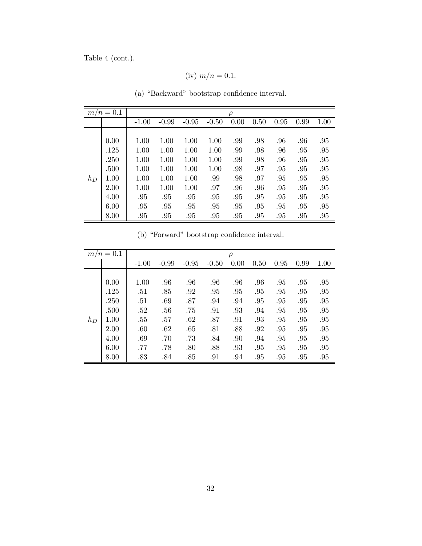(iv) 
$$
m/n = 0.1
$$
.

(a) "Backward" bootstrap confidence interval.

| $m/n = 0.1$ |      | ρ       |         |         |         |      |      |      |      |      |  |
|-------------|------|---------|---------|---------|---------|------|------|------|------|------|--|
|             |      | $-1.00$ | $-0.99$ | $-0.95$ | $-0.50$ | 0.00 | 0.50 | 0.95 | 0.99 | 1.00 |  |
|             |      |         |         |         |         |      |      |      |      |      |  |
|             | 0.00 | 1.00    | 1.00    | 1.00    | 1.00    | .99  | .98  | .96  | .96  | .95  |  |
|             | .125 | 1.00    | 1.00    | 1.00    | 1.00    | .99  | .98  | .96  | .95  | .95  |  |
|             | .250 | 1.00    | 1.00    | 1.00    | 1.00    | .99  | .98  | .96  | .95  | .95  |  |
|             | .500 | 1.00    | 1.00    | 1.00    | 1.00    | .98  | .97  | .95  | .95  | .95  |  |
| $h_D$       | 1.00 | 1.00    | 1.00    | 1.00    | .99     | .98  | .97  | .95  | .95  | .95  |  |
|             | 2.00 | 1.00    | 1.00    | 1.00    | .97     | .96  | .96  | .95  | .95  | .95  |  |
|             | 4.00 | .95     | .95     | .95     | .95     | .95  | .95  | .95  | .95  | .95  |  |
|             | 6.00 | .95     | .95     | .95     | .95     | .95  | .95  | .95  | .95  | .95  |  |
|             | 8.00 | .95     | .95     | .95     | .95     | .95  | .95  | .95  | .95  | .95  |  |

| $m/n = 0.1$ |      | ρ       |         |         |         |      |      |      |      |      |  |
|-------------|------|---------|---------|---------|---------|------|------|------|------|------|--|
|             |      | $-1.00$ | $-0.99$ | $-0.95$ | $-0.50$ | 0.00 | 0.50 | 0.95 | 0.99 | 1.00 |  |
|             |      |         |         |         |         |      |      |      |      |      |  |
|             | 0.00 | 1.00    | .96     | .96     | .96     | .96  | .96  | .95  | .95  | .95  |  |
|             | .125 | .51     | .85     | .92     | .95     | .95  | .95  | .95  | .95  | .95  |  |
|             | .250 | .51     | .69     | .87     | .94     | .94  | .95  | .95  | .95  | .95  |  |
|             | .500 | .52     | .56     | .75     | .91     | .93  | .94  | .95  | .95  | .95  |  |
| $h_D$       | 1.00 | .55     | .57     | .62     | .87     | .91  | .93  | .95  | .95  | .95  |  |
|             | 2.00 | .60     | .62     | .65     | .81     | .88  | .92  | .95  | .95  | .95  |  |
|             | 4.00 | .69     | .70     | .73     | .84     | .90  | .94  | .95  | .95  | .95  |  |
|             | 6.00 | .77     | .78     | .80     | .88     | .93  | .95  | .95  | .95  | .95  |  |
|             | 8.00 | .83     | .84     | .85     | .91     | .94  | .95  | .95  | .95  | .95  |  |

(b) "Forward" bootstrap confidence interval.